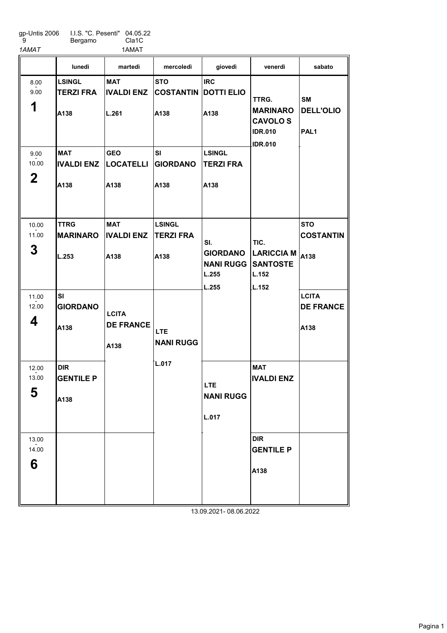gp-Untis 2006 9 I.I.S. "C. Pesenti" 04.05.22 Bergamo

Cla1C

1AMAT 1AMAT

LSINGL TERZI FRA A138 MAT IVALDI ENZ A138 TTRG MARINARO L.253 SI GIORDANO A138 DIR GENTILE P A<sub>138</sub> **MAT** IVALDI ENZ L.261 GEO LOCATELLI A138 MAT IVALDI ENZ A138 **STO** COSTANTIN A138 SI GIORDANO A138 LSINGL TERZI FRA A138 **IRC** DOTTI ELIO A138 LSINGL TERZI FRA A138 MAT IVALDI ENZ DIR GENTILE P A138 **STO COSTANTIN** LARICCIA M $|_{A138}$ **LCITA** DE FRANCE A138 lunedì martedì mercoledì giovedì venerdì sabato 1 8.00 - 9.00 2 9.00  $-2.00$ 3 10.00 - 11.00 4 11.00  $-2.00$ 5 12.00  $-2.00$ 6 13.00  $-2.00$ **LCITA** DE FRANCE A138 LTE NANI RUGG L.017 SI. GIORDANO NANI RUGG SANTOSTE L.255 L.255 LTE NANI RUGG L.017 TTRG. MARINARO CAVOLO S IDR.010 IDR.010 TIC. L.152 L.152 **SM** DELL'OLIO PAL1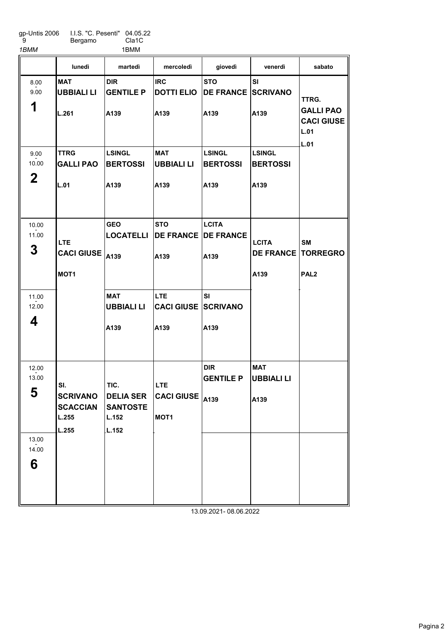gp-Untis 2006 9 I.I.S. "C. Pesenti" Bergamo 04.05.22

1BMM 1BMM

Cla1C

|                                                 | lunedì                                                      | martedì                                                                           | mercoledì                                                                                            | giovedì                                         | venerdì                                  | sabato                                                         |
|-------------------------------------------------|-------------------------------------------------------------|-----------------------------------------------------------------------------------|------------------------------------------------------------------------------------------------------|-------------------------------------------------|------------------------------------------|----------------------------------------------------------------|
| 8.00<br>9.00<br>1                               | <b>MAT</b><br><b>UBBIALI LI</b><br>L.261                    | <b>DIR</b><br><b>GENTILE P</b><br>A139                                            | <b>IRC</b><br><b>DOTTI ELIO</b><br>A139                                                              | <b>STO</b><br><b>DE FRANCE SCRIVANO</b><br>A139 | <b>SI</b><br>A139                        | TTRG.<br><b>GALLI PAO</b><br><b>CACI GIUSE</b><br>L.01<br>L.01 |
| 9.00<br>10.00<br>$\mathbf 2$                    | <b>TTRG</b><br><b>GALLI PAO</b><br>L.01                     | <b>LSINGL</b><br><b>BERTOSSI</b><br>A139                                          | <b>MAT</b><br>UBBIALI LI<br>A139                                                                     | <b>LSINGL</b><br><b>BERTOSSI</b><br>A139        | <b>LSINGL</b><br><b>BERTOSSI</b><br>A139 |                                                                |
| 10.00<br>11.00<br>3<br>11.00<br>12.00<br>4      | <b>LTE</b><br><b>CACI GIUSE</b><br>MOT <sub>1</sub>         | <b>GEO</b><br><b>LOCATELLI</b><br>A139<br><b>MAT</b><br><b>UBBIALI LI</b><br>A139 | <b>STO</b><br><b>DE FRANCE DE FRANCE</b><br>A139<br><b>LTE</b><br><b>CACI GIUSE SCRIVANO</b><br>A139 | <b>LCITA</b><br>A139<br><b>SI</b><br>A139       | <b>LCITA</b><br><b>DE FRANCE</b><br>A139 | <b>SM</b><br><b>TORREGRO</b><br>PAL <sub>2</sub>               |
| 12.00<br>13.00<br>E<br>ວ<br>13.00<br>14.00<br>6 | SI.<br><b>SCRIVANO</b><br><b>SCACCIAN</b><br>L.255<br>L.255 | TIC.<br><b>DELIA SER</b><br><b>SANTOSTE</b><br>L.152<br>L.152                     | <b>LTE</b><br>$ {\sf CACI}$ GIUSE $ {\sf A139}$<br>MOT <sub>1</sub>                                  | <b>DIR</b><br><b>GENTILE P</b>                  | <b>MAT</b><br><b>UBBIALI LI</b><br>A139  |                                                                |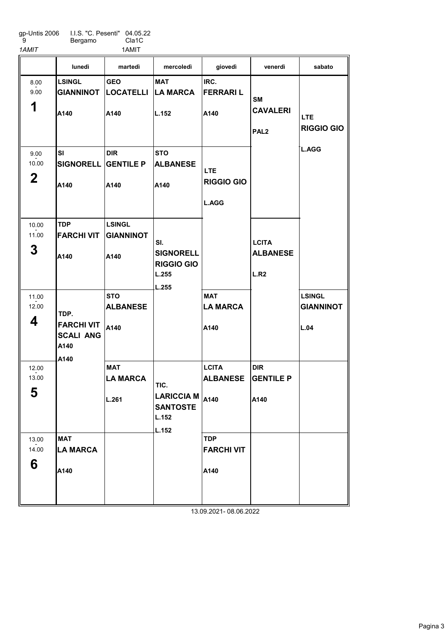gp-Untis 2006 9 I.I.S. "C. Pesenti" 04.05.22 Bergamo Cla1C 1AMIT 1AMIT

LSINGL GIANNINOT A140 SI SIGNORELL GENTILE P A140 TDP FARCHI VIT A140 MAT LA MARCA A140 GEO LOCATELLI A140 DIR A140 LSINGL GIANNINOT A140 **STO** ALBANESE A140 MAT LA MARCA L.261 MAT LA MARCA L.152 **STO** ALBANESE A140 IRC. FERRARI L A140 MAT LA MARCA A140 **LCITA** ALBANESE A140 TDP FARCHI VIT A140 DIR GENTILE P A140 LSINGL GIANNINOT L.04 lunedì martedì mercoledì giovedì venerdì sabato 1 8.00 - 9.00 2 9.00  $-2.00$ 3 10.00 - 11.00 4 11.00  $-2.00$ 5 12.00  $-2.00$ 6 13.00  $-2.00$ TDP. FARCHI VIT SCALI ANG A140 A140 SI. **SIGNORELL** RIGGIO GIO L.255 L.255 TIC. LARICCIA M **SANTOSTE** L.152 L.152 LTE RIGGIO GIO L.AGG **SM** CAVALERI PAL2 **LCITA** ALBANESE L.R2 LTE RIGGIO GIO L.AGG 13.09.2021- 08.06.2022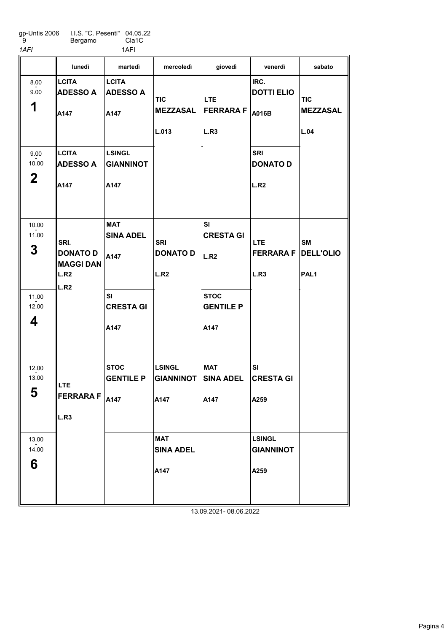| gp-Untis 2006 | I.I.S. "C. Pesenti" 04.05.22 |                    |
|---------------|------------------------------|--------------------|
| - 9           | Bergamo                      | Cla <sub>1</sub> C |

| 1AFI                         |                                                             | 1AFI                                      |                                              |                                                   |                                           |                                                   |
|------------------------------|-------------------------------------------------------------|-------------------------------------------|----------------------------------------------|---------------------------------------------------|-------------------------------------------|---------------------------------------------------|
|                              | lunedì                                                      | martedì                                   | mercoledì                                    | giovedì                                           | venerdì                                   | sabato                                            |
| 8.00<br>9.00<br>1            | <b>LCITA</b><br><b>ADESSO A</b><br>A147                     | <b>LCITA</b><br><b>ADESSO A</b><br>A147   | <b>TIC</b><br><b>MEZZASAL</b><br>L.013       | <b>LTE</b><br><b>FERRARA F</b><br>L.R3            | IRC.<br><b>DOTTI ELIO</b><br>A016B        | <b>TIC</b><br><b>MEZZASAL</b><br>L.04             |
| 9.00<br>10.00<br>$\mathbf 2$ | <b>LCITA</b><br><b>ADESSO A</b><br>A147                     | <b>LSINGL</b><br><b>GIANNINOT</b><br>A147 |                                              |                                                   | <b>SRI</b><br><b>DONATO D</b><br>L.R2     |                                                   |
| 10.00<br>11.00<br>3          | SRI.<br><b>DONATO D</b><br><b>MAGGI DAN</b><br>L.R2<br>L.R2 | <b>MAT</b><br><b>SINA ADEL</b><br>A147    | <b>SRI</b><br><b>DONATO D</b><br>L.R2        | <b>SI</b><br><b>CRESTA GI</b><br>L.R <sub>2</sub> | <b>LTE</b><br><b>FERRARAF</b><br>L.R3     | <b>SM</b><br><b>DELL'OLIO</b><br>PAL <sub>1</sub> |
| 11.00<br>12.00<br>4          |                                                             | SI<br><b>CRESTA GI</b><br>A147            |                                              | <b>STOC</b><br><b>GENTILE P</b><br>A147           |                                           |                                                   |
| 12.00<br>13.00<br>5          | <b>LTE</b><br><b>FERRARA F</b> $ _{A147}$<br>L.R3           | <b>STOC</b><br><b>GENTILE P</b>           | <b>LSINGL</b><br>GIANNINOT SINA ADEL<br>A147 | <b>MAT</b><br>A147                                | SI<br><b>CRESTA GI</b><br>A259            |                                                   |
| 13.00<br>14.00<br>6          |                                                             |                                           | <b>MAT</b><br><b>SINA ADEL</b><br>A147       |                                                   | <b>LSINGL</b><br><b>GIANNINOT</b><br>A259 |                                                   |
|                              |                                                             |                                           |                                              | 13.09.2021-08.06.2022                             |                                           |                                                   |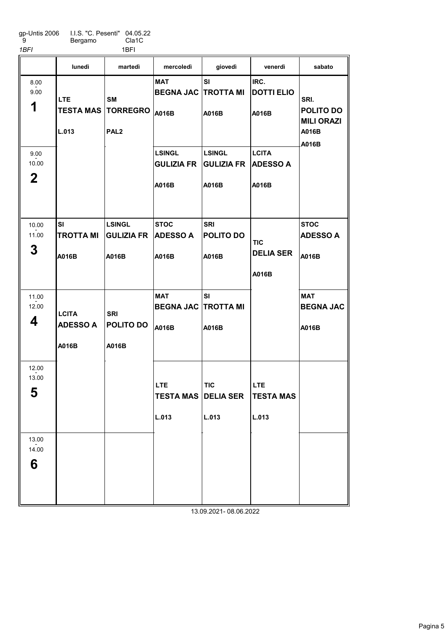gp-Untis 2006 9 I.I.S. "C. Pesenti" Bergamo 04.05.22 Cla1C 1*BFI* 1*BFI* 

|                              | lunedì                                   | martedì                                          | mercoledì                                         | giovedì                                                     | venerdì                                  | sabato                                          |
|------------------------------|------------------------------------------|--------------------------------------------------|---------------------------------------------------|-------------------------------------------------------------|------------------------------------------|-------------------------------------------------|
| 8.00<br>9.00<br>1            | <b>LTE</b><br><b>TESTA MAS</b><br>L.013  | <b>SM</b><br><b>TORREGRO</b><br>PAL <sub>2</sub> | <b>MAT</b><br><b>BEGNA JAC TROTTA MI</b><br>A016B | <b>SI</b><br>A016B                                          | IRC.<br><b>DOTTI ELIO</b><br>A016B       | SRI.<br>POLITO DO<br><b>MILI ORAZI</b><br>A016B |
| 9.00<br>10.00<br>$\mathbf 2$ |                                          |                                                  | <b>LSINGL</b><br><b>GULIZIA FR</b><br>A016B       | <b>LSINGL</b><br><b>GULIZIA FR</b><br>A016B                 | <b>LCITA</b><br><b>ADESSO A</b><br>A016B | A016B                                           |
| 10.00<br>11.00<br>3          | <b>SI</b><br><b>TROTTA MI</b><br>A016B   | <b>LSINGL</b><br><b>GULIZIA FR</b><br>A016B      | <b>STOC</b><br><b>ADESSO A</b><br>A016B           | <b>SRI</b><br>POLITO DO<br>A016B                            | TIC<br><b>DELIA SER</b><br>A016B         | <b>STOC</b><br><b>ADESSO A</b><br>A016B         |
| 11.00<br>12.00<br>4          | <b>LCITA</b><br><b>ADESSO A</b><br>A016B | <b>SRI</b><br>POLITO DO<br>A016B                 | <b>MAT</b><br><b>BEGNA JAC</b><br>A016B           | <b>SI</b><br><b>TROTTA MI</b><br>A016B                      |                                          | <b>MAT</b><br><b>BEGNA JAC</b><br>A016B         |
| 12.00<br>13.00<br>E<br>ა     |                                          |                                                  | <b>LTE</b><br>L.013                               | <b>TIC</b><br><b>TESTA MAS DELIA SER TESTA MAS</b><br>L.013 | <b>LTE</b><br>L.013                      |                                                 |
| 13.00<br>14.00<br>6          |                                          |                                                  |                                                   | 13.09.2021-08.06.2022                                       |                                          |                                                 |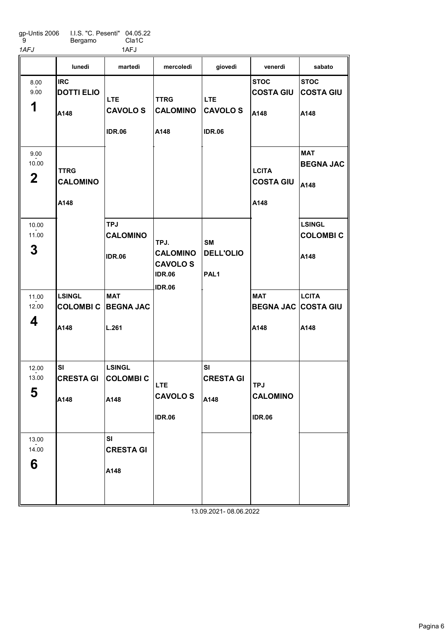gp-Untis 2006 9 I.I.S. "C. Pesenti" 04.05.22 Cla1C

Bergamo

| 1AFJ                         |                                          | 1AFJ                                           |                                                                             |                                                   |                                                  |                                          |
|------------------------------|------------------------------------------|------------------------------------------------|-----------------------------------------------------------------------------|---------------------------------------------------|--------------------------------------------------|------------------------------------------|
|                              | lunedì                                   | martedì                                        | mercoledì                                                                   | giovedì                                           | venerdì                                          | sabato                                   |
| 8.00<br>9.00<br>1            | <b>IRC</b><br><b>DOTTI ELIO</b><br>A148  | <b>LTE</b><br><b>CAVOLOS</b><br><b>IDR.06</b>  | <b>TTRG</b><br><b>CALOMINO</b><br>A148                                      | <b>LTE</b><br><b>CAVOLOS</b><br><b>IDR.06</b>     | <b>STOC</b><br><b>COSTA GIU</b><br>A148          | <b>STOC</b><br><b>COSTA GIU</b><br>A148  |
| 9.00<br>10.00<br>$\mathbf 2$ | <b>TTRG</b><br><b>CALOMINO</b><br>A148   |                                                |                                                                             |                                                   | <b>LCITA</b><br><b>COSTA GIU</b><br>A148         | <b>MAT</b><br><b>BEGNA JAC</b><br>A148   |
| 10.00<br>11.00<br>3          |                                          | <b>TPJ</b><br><b>CALOMINO</b><br><b>IDR.06</b> | TPJ.<br><b>CALOMINO</b><br><b>CAVOLOS</b><br><b>IDR.06</b><br><b>IDR.06</b> | <b>SM</b><br><b>DELL'OLIO</b><br>PAL <sub>1</sub> |                                                  | <b>LSINGL</b><br><b>COLOMBIC</b><br>A148 |
| 11.00<br>12.00<br>4          | <b>LSINGL</b><br><b>COLOMBIC</b><br>A148 | <b>MAT</b><br><b>BEGNA JAC</b><br>L.261        |                                                                             |                                                   | <b>MAT</b><br><b>BEGNA JAC COSTA GIU</b><br>A148 | <b>LCITA</b><br>A148                     |
| 12.00<br>13.00<br>5          | SI<br><b>CRESTA GI</b><br>A148           | <b>LSINGL</b><br><b>COLOMBIC</b><br>A148       | LTE<br><b>CAVOLOS</b><br><b>IDR.06</b>                                      | SI<br><b>CRESTA GI</b><br>A148                    | <b>TPJ</b><br><b>CALOMINO</b><br><b>IDR.06</b>   |                                          |
| 13.00<br>14.00<br>6          |                                          | SI<br><b>CRESTA GI</b><br>A148                 |                                                                             |                                                   |                                                  |                                          |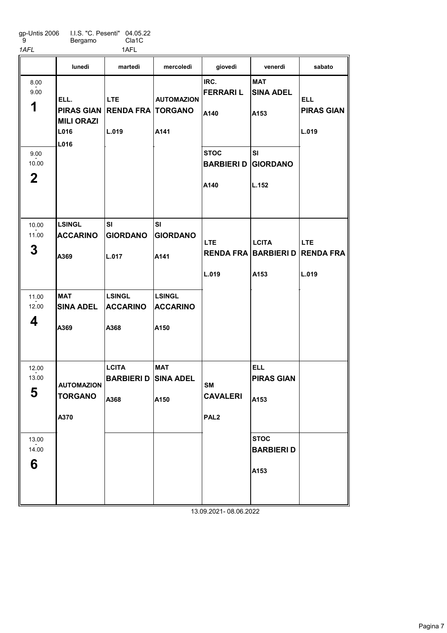| gp-Untis 2006 | I.I.S. "C. Pesenti" 04.05.22 |       |
|---------------|------------------------------|-------|
| - 9           | Bergamo                      | Cla1C |

1AFL 1AFL

|                              | lunedì                                      | martedì                                             | mercoledì                                | giovedì                                          | venerdì                                                | sabato                                   |
|------------------------------|---------------------------------------------|-----------------------------------------------------|------------------------------------------|--------------------------------------------------|--------------------------------------------------------|------------------------------------------|
| 8.00<br>9.00<br>1            | ELL.<br><b>MILI ORAZI</b><br>L016<br>L016   | <b>LTE</b><br>PIRAS GIAN RENDA FRA TORGANO<br>L.019 | <b>AUTOMAZION</b><br>A141                | IRC.<br><b>FERRARIL</b><br>A140                  | <b>MAT</b><br><b>SINA ADEL</b><br>A153                 | <b>ELL</b><br><b>PIRAS GIAN</b><br>L.019 |
| 9.00<br>10.00<br>$\mathbf 2$ |                                             |                                                     |                                          | <b>STOC</b><br><b>BARBIERI D</b><br>A140         | SI<br><b>GIORDANO</b><br>L.152                         |                                          |
| 10.00<br>11.00<br>3          | <b>LSINGL</b><br><b>ACCARINO</b><br>A369    | SI<br><b>GIORDANO</b><br>L.017                      | SI<br><b>GIORDANO</b><br>A141            | <b>LTE</b><br>L.019                              | <b>LCITA</b><br><b>RENDA FRA BARBIERI D</b><br>A153    | <b>LTE</b><br><b>RENDA FRA</b><br>L.019  |
| 11.00<br>12.00<br>4          | <b>MAT</b><br><b>SINA ADEL</b><br>A369      | <b>LSINGL</b><br><b>ACCARINO</b><br>A368            | <b>LSINGL</b><br><b>ACCARINO</b><br>A150 |                                                  |                                                        |                                          |
| 12.00<br>13.00<br>5<br>13.00 | <b>AUTOMAZION</b><br><b>TORGANO</b><br>A370 | <b>LCITA</b><br><b>BARBIERI D</b><br>A368           | <b>MAT</b><br><b>SINA ADEL</b><br>A150   | <b>SM</b><br><b>CAVALERI</b><br>PAL <sub>2</sub> | <b>ELL</b><br><b>PIRAS GIAN</b><br>A153<br><b>STOC</b> |                                          |
| 14.00<br>6                   |                                             |                                                     |                                          |                                                  | <b>BARBIERI D</b><br>A153                              |                                          |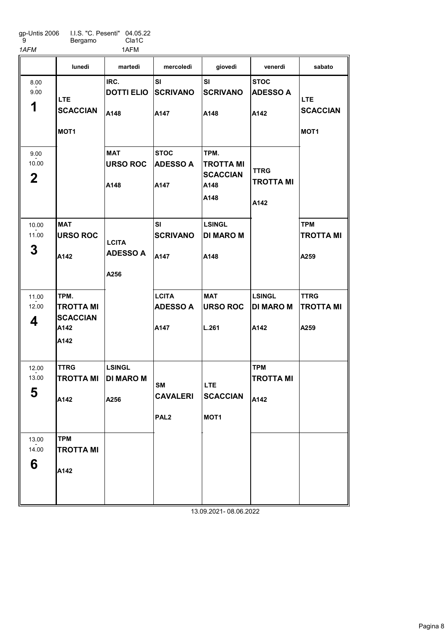gp-Untis 2006 9 I.I.S. "C. Pesenti" Bergamo 04.05.22 Cla1C

| 1AFM                         |                                                             | 1AFM                                      |                                                  |                                                             |                                           |                                                   |
|------------------------------|-------------------------------------------------------------|-------------------------------------------|--------------------------------------------------|-------------------------------------------------------------|-------------------------------------------|---------------------------------------------------|
|                              | lunedì                                                      | martedì                                   | mercoledì                                        | giovedì                                                     | venerdì                                   | sabato                                            |
| 8.00<br>9.00<br>1            | <b>LTE</b><br><b>SCACCIAN</b><br>MOT <sub>1</sub>           | IRC.<br><b>DOTTI ELIO</b><br>A148         | <b>SI</b><br><b>SCRIVANO</b><br>A147             | SI<br><b>SCRIVANO</b><br>A148                               | <b>STOC</b><br><b>ADESSO A</b><br>A142    | <b>LTE</b><br><b>SCACCIAN</b><br>MOT <sub>1</sub> |
| 9.00<br>10.00<br>$\mathbf 2$ |                                                             | <b>MAT</b><br><b>URSO ROC</b><br>A148     | <b>STOC</b><br><b>ADESSO A</b><br>A147           | TPM.<br><b>TROTTA MI</b><br><b>SCACCIAN</b><br>A148<br>A148 | <b>TTRG</b><br><b>TROTTA MI</b><br>A142   |                                                   |
| 10.00<br>11.00<br>3          | <b>MAT</b><br><b>URSO ROC</b><br>A142                       | <b>LCITA</b><br><b>ADESSO A</b><br>A256   | SI<br><b>SCRIVANO</b><br>A147                    | <b>LSINGL</b><br><b>DI MARO M</b><br>A148                   |                                           | <b>TPM</b><br><b>TROTTA MI</b><br>A259            |
| 11.00<br>12.00<br>4          | TPM.<br><b>TROTTA MI</b><br><b>SCACCIAN</b><br>A142<br>A142 |                                           | <b>LCITA</b><br><b>ADESSO A</b><br>A147          | <b>MAT</b><br><b>URSO ROC</b><br>L.261                      | <b>LSINGL</b><br><b>DI MARO M</b><br>A142 | <b>TTRG</b><br>TROTTA MI<br>A259                  |
| 12.00<br>13.00<br>5          | <b>TTRG</b><br><b>TROTTA MI</b><br>A142                     | <b>LSINGL</b><br><b>DI MARO M</b><br>A256 | <b>SM</b><br><b>CAVALERI</b><br>PAL <sub>2</sub> | LTE.<br><b>SCACCIAN</b><br>MOT <sub>1</sub>                 | <b>TPM</b><br><b>TROTTA MI</b><br>A142    |                                                   |
| 13.00<br>14.00<br>6          | <b>TPM</b><br><b>TROTTA MI</b><br>A142                      |                                           |                                                  |                                                             |                                           |                                                   |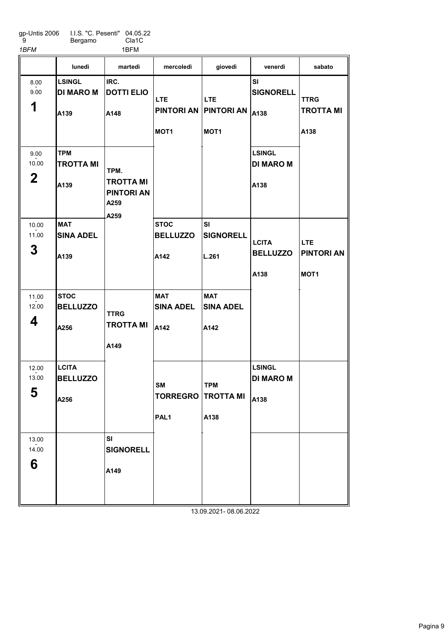| gp-Untis 2006 | I.I.S. "C. Pesenti" 04.05.22 |                    |
|---------------|------------------------------|--------------------|
| - 9           | Bergamo                      | Cla <sub>1</sub> C |

1BFM 1BFM

|                              | lunedì                                    | martedì                                                       | mercoledì                                                 | giovedì                                         | venerdì                                   | sabato                                  |
|------------------------------|-------------------------------------------|---------------------------------------------------------------|-----------------------------------------------------------|-------------------------------------------------|-------------------------------------------|-----------------------------------------|
| 8.00<br>9.00<br>1            | <b>LSINGL</b><br><b>DI MARO M</b><br>A139 | IRC.<br><b>DOTTI ELIO</b><br>A148                             | <b>LTE</b><br>PINTORI AN   PINTORI AN<br>MOT <sub>1</sub> | <b>LTE</b><br>MOT <sub>1</sub>                  | SI<br><b>SIGNORELL</b><br>A138            | <b>TTRG</b><br><b>TROTTA MI</b><br>A138 |
| 9.00<br>10.00<br>$\mathbf 2$ | <b>TPM</b><br><b>TROTTA MI</b><br>IA139   | TPM.<br><b>TROTTA MI</b><br><b>PINTORI AN</b><br>A259<br>A259 |                                                           |                                                 | <b>LSINGL</b><br><b>DI MARO M</b><br>A138 |                                         |
| 10.00<br>11.00<br>3          | <b>MAT</b><br><b>SINA ADEL</b><br>A139    |                                                               | <b>STOC</b><br><b>BELLUZZO</b><br>A142                    | <b>SI</b><br><b>SIGNORELL</b><br>L.261          | <b>LCITA</b><br><b>BELLUZZO</b>           | <b>LTE</b><br><b>PINTORI AN</b>         |
| 11.00<br>12.00<br>4          | <b>STOC</b><br><b>BELLUZZO</b>            | <b>TTRG</b><br><b>TROTTA MI</b>                               | <b>MAT</b><br><b>SINA ADEL</b>                            | <b>MAT</b><br><b>SINA ADEL</b>                  | A138                                      | MOT <sub>1</sub>                        |
|                              | A256                                      | A149                                                          | A142                                                      | A142                                            |                                           |                                         |
| 12.00<br>13.00<br>5          | <b>LCITA</b><br><b>BELLUZZO</b><br>A256   |                                                               | <b>SM</b><br>PAL <sub>1</sub>                             | <b>TPM</b><br><b>TORREGRO TROTTA MI</b><br>A138 | <b>LSINGL</b><br><b>DI MARO M</b><br>A138 |                                         |
| 13.00<br>14.00<br>6          |                                           | SI<br><b>SIGNORELL</b><br>A149                                |                                                           |                                                 |                                           |                                         |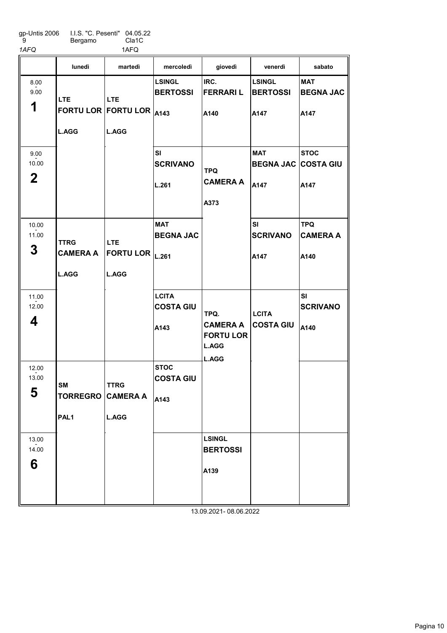| qp-Untis 2006 | LLS. "C. Pesenti" 04.05.22 |       |
|---------------|----------------------------|-------|
| я             | Bergamo                    | Cla1C |
| 1AFQ          |                            | 1AFQ  |

|                                  | lunedì                                         | martedì                                                     | mercoledì                                | giovedì                                                              | venerdì                                          | sabato                                 |
|----------------------------------|------------------------------------------------|-------------------------------------------------------------|------------------------------------------|----------------------------------------------------------------------|--------------------------------------------------|----------------------------------------|
| 8.00<br>9.00<br>1                | <b>LTE</b><br><b>L.AGG</b>                     | <b>LTE</b><br>FORTU LOR FORTU LOR A143<br><b>L.AGG</b>      | <b>LSINGL</b><br><b>BERTOSSI</b>         | IRC.<br><b>FERRARIL</b><br>A140                                      | <b>LSINGL</b><br><b>BERTOSSI</b><br>A147         | <b>MAT</b><br><b>BEGNA JAC</b><br>A147 |
| 9.00<br>10.00<br>$\mathbf{2}$    |                                                |                                                             | <b>SI</b><br><b>SCRIVANO</b><br>L.261    | <b>TPQ</b><br><b>CAMERA A</b><br>A373                                | <b>MAT</b><br><b>BEGNA JAC COSTA GIU</b><br>A147 | <b>STOC</b><br>A147                    |
| 10.00<br>11.00<br>3              | <b>TTRG</b><br><b>CAMERA A</b><br><b>L.AGG</b> | <b>LTE</b><br>FORTU LOR $ _{L.261}$<br><b>L.AGG</b>         | <b>MAT</b><br><b>BEGNA JAC</b>           |                                                                      | <b>SI</b><br><b>SCRIVANO</b><br>A147             | <b>TPQ</b><br><b>CAMERA A</b><br>A140  |
| 11.00<br>12.00<br>4              |                                                |                                                             | <b>LCITA</b><br><b>COSTA GIU</b><br>A143 | TPQ.<br><b>CAMERA A</b><br><b>FORTU LOR</b><br><b>L.AGG</b><br>L.AGG | <b>LCITA</b><br><b>COSTA GIU</b>                 | <b>SI</b><br><b>SCRIVANO</b><br>A140   |
| 12.00<br>13.00<br>E<br>$\bullet$ | <b>SM</b><br>PAL <sub>1</sub>                  | <b>TTRG</b><br>TORREGRO CAMERA A $ _{A143}$<br><b>L.AGG</b> | <b>STOC</b><br><b>COSTA GIU</b>          |                                                                      |                                                  |                                        |
| 13.00<br>14.00<br>6              |                                                |                                                             |                                          | <b>LSINGL</b><br><b>BERTOSSI</b><br>A139<br>13 09 2021, 08 06 2022   |                                                  |                                        |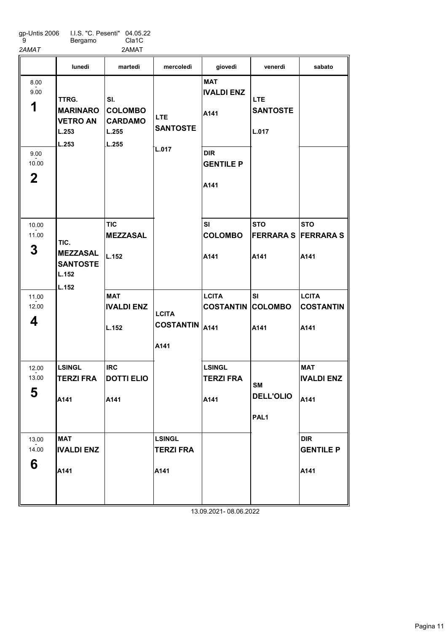| gp-Untis 2006 | I.I.S. "C. Pesenti" 04.05.22 |                    |
|---------------|------------------------------|--------------------|
| -9            | Bergamo                      | Cla <sub>1</sub> C |

2AMAT 2AMAT 2AMAT

|                               | lunedì                                                        | martedì                                                   | mercoledì                                 | giovedì                                   | venerdì                                           | sabato                                   |
|-------------------------------|---------------------------------------------------------------|-----------------------------------------------------------|-------------------------------------------|-------------------------------------------|---------------------------------------------------|------------------------------------------|
| 8.00<br>9.00<br>1             | TTRG.<br><b>MARINARO</b><br><b>VETRO AN</b><br>L.253<br>L.253 | SI.<br><b>COLOMBO</b><br><b>CARDAMO</b><br>L.255<br>L.255 | LTE.<br><b>SANTOSTE</b><br>L.017          | <b>MAT</b><br><b>IVALDI ENZ</b><br>A141   | LTE.<br><b>SANTOSTE</b><br>L.017                  |                                          |
| 9.00<br>10.00<br>$\mathbf{2}$ |                                                               |                                                           |                                           | <b>DIR</b><br><b>GENTILE P</b><br>A141    |                                                   |                                          |
| 10.00<br>11.00<br>3           | TIC.<br><b>MEZZASAL</b><br><b>SANTOSTE</b><br>L.152<br>L.152  | <b>TIC</b><br><b>MEZZASAL</b><br>L.152                    |                                           | <b>SI</b><br><b>COLOMBO</b><br>A141       | <b>STO</b><br><b>FERRARA S FERRARA S</b><br>A141  | <b>STO</b><br>A141                       |
| 11.00<br>12.00<br>4           |                                                               | <b>MAT</b><br><b>IVALDI ENZ</b><br>L.152                  | <b>LCITA</b><br><b>COSTANTIN</b><br>A141  | <b>LCITA</b><br><b>COSTANTIN</b><br>A141  | SI<br><b>COLOMBO</b><br>A141                      | <b>LCITA</b><br><b>COSTANTIN</b><br>A141 |
| 12.00<br>13.00<br>5           | <b>LSINGL</b><br><b>TERZI FRA</b><br>A141                     | <b>IRC</b><br><b>DOTTI ELIO</b><br>A141                   |                                           | <b>LSINGL</b><br><b>TERZI FRA</b><br>A141 | <b>SM</b><br><b>DELL'OLIO</b><br>PAL <sub>1</sub> | <b>MAT</b><br><b>IVALDI ENZ</b><br>A141  |
| 13.00<br>14.00<br>6           | <b>MAT</b><br><b>IVALDI ENZ</b><br>A141                       |                                                           | <b>LSINGL</b><br><b>TERZI FRA</b><br>A141 |                                           |                                                   | <b>DIR</b><br><b>GENTILE P</b><br>A141   |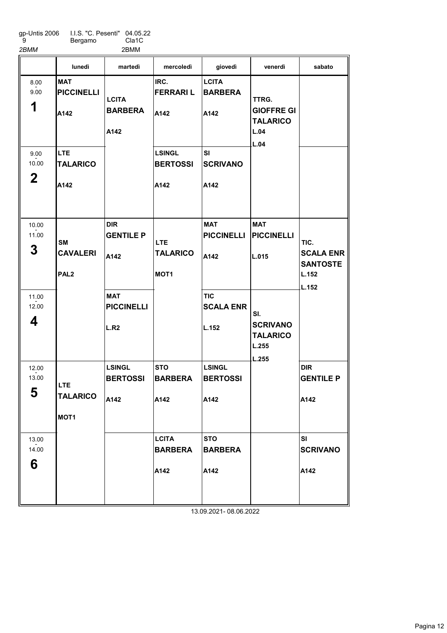gp-Untis 2006 9 I.I.S. "C. Pesenti" Bergamo 04.05.22 Cla1C 2BMM 2BMM

|                               | lunedì                                            | martedì                                  | mercoledì                                         | giovedì                                  | venerdì                                                       | sabato                                                        |
|-------------------------------|---------------------------------------------------|------------------------------------------|---------------------------------------------------|------------------------------------------|---------------------------------------------------------------|---------------------------------------------------------------|
| 8.00<br>9.00<br>1             | <b>MAT</b><br><b>PICCINELLI</b><br>A142           | <b>LCITA</b><br><b>BARBERA</b><br>A142   | IRC.<br><b>FERRARI L</b><br>A142                  | <b>LCITA</b><br><b>BARBERA</b><br>A142   | TTRG.<br><b>GIOFFRE GI</b><br><b>TALARICO</b><br>L.04<br>L.04 |                                                               |
| 9.00<br>10.00<br>$\mathbf{2}$ | LTE.<br><b>TALARICO</b><br>A142                   |                                          | <b>LSINGL</b><br><b>BERTOSSI</b><br>A142          | <b>SI</b><br><b>SCRIVANO</b><br>A142     |                                                               |                                                               |
| 10.00<br>11.00<br>3           | <b>SM</b><br><b>CAVALERI</b><br>PAL <sub>2</sub>  | <b>DIR</b><br><b>GENTILE P</b><br>A142   | <b>LTE</b><br><b>TALARICO</b><br>MOT <sub>1</sub> | <b>MAT</b><br><b>PICCINELLI</b><br>A142  | <b>MAT</b><br><b>PICCINELLI</b><br>L.015                      | TIC.<br><b>SCALA ENR</b><br><b>SANTOSTE</b><br>L.152<br>L.152 |
| 11.00<br>12.00<br>4           |                                                   | <b>MAT</b><br><b>PICCINELLI</b><br>L.R2  |                                                   | <b>TIC</b><br><b>SCALA ENR</b><br>L.152  | SI.<br><b>SCRIVANO</b><br><b>TALARICO</b><br>L.255<br>L.255   |                                                               |
| 12.00<br>13.00<br>E<br>ა      | <b>LTE</b><br><b>TALARICO</b><br>MOT <sub>1</sub> | <b>LSINGL</b><br><b>BERTOSSI</b><br>A142 | <b>STO</b><br><b>BARBERA</b><br>A142              | <b>LSINGL</b><br><b>BERTOSSI</b><br>A142 |                                                               | <b>DIR</b><br><b>GENTILE P</b><br>A142                        |
| 13.00<br>14.00<br>6           |                                                   |                                          | <b>LCITA</b><br><b>BARBERA</b><br>A142            | <b>STO</b><br><b>BARBERA</b><br>A142     |                                                               | SI<br><b>SCRIVANO</b><br>A142                                 |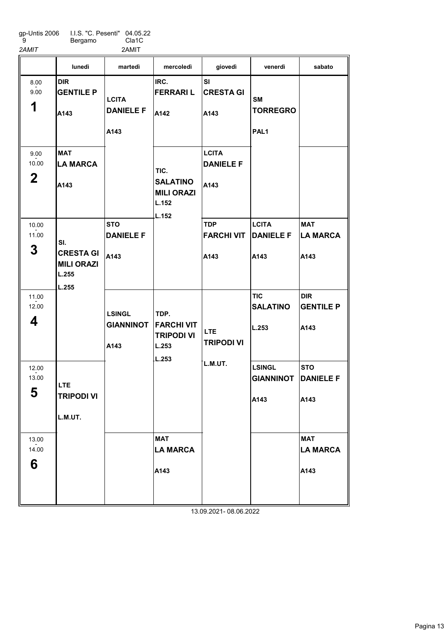gp-Untis 2006 9 I.I.S. "C. Pesenti" Bergamo 04.05.22 Cla1C 2AMIT 2AMIT

|                               | lunedì                                                         | martedì                                   | mercoledì                                                      | giovedì                                  | venerdì                                          | sabato                                 |
|-------------------------------|----------------------------------------------------------------|-------------------------------------------|----------------------------------------------------------------|------------------------------------------|--------------------------------------------------|----------------------------------------|
| 8.00<br>9.00<br>1             | <b>DIR</b><br><b>GENTILE P</b><br>A143                         | <b>LCITA</b><br><b>DANIELE F</b><br>A143  | IRC.<br><b>FERRARI L</b><br>A142                               | SI<br><b>CRESTA GI</b><br>A143           | <b>SM</b><br><b>TORREGRO</b><br>PAL <sub>1</sub> |                                        |
| 9.00<br>10.00<br>$\mathbf{2}$ | <b>MAT</b><br><b>LA MARCA</b><br>A143                          |                                           | TIC.<br><b>SALATINO</b><br><b>MILI ORAZI</b><br>L.152<br>L.152 | <b>LCITA</b><br><b>DANIELE F</b><br>A143 |                                                  |                                        |
| 10.00<br>11.00<br>3           | SI.<br><b>CRESTA GI</b><br><b>MILI ORAZI</b><br>L.255<br>L.255 | <b>STO</b><br><b>DANIELE F</b><br>A143    |                                                                | <b>TDP</b><br><b>FARCHI VIT</b><br>A143  | <b>LCITA</b><br><b>DANIELE F</b><br>A143         | <b>MAT</b><br><b>LA MARCA</b><br>A143  |
| 11.00<br>12.00<br>4           |                                                                | <b>LSINGL</b><br><b>GIANNINOT</b><br>A143 | TDP.<br><b>FARCHI VIT</b><br><b>TRIPODI VI</b><br>L.253        | <b>LTE</b><br><b>TRIPODI VI</b>          | <b>TIC</b><br><b>SALATINO</b><br>L.253           | <b>DIR</b><br><b>GENTILE P</b><br>A143 |
| 12.00<br>13.00<br>5           | <b>LTE</b><br><b>TRIPODI VI</b><br>L.M.UT.                     |                                           | L.253                                                          | L.M.UT.                                  | <b>LSINGL</b><br><b>GIANNINOT</b><br>A143        | <b>STO</b><br><b>DANIELE F</b><br>A143 |
| 13.00<br>14.00<br>6           |                                                                |                                           | <b>MAT</b><br><b>LA MARCA</b><br>A143                          | 13.09.2021-08.06.2022                    |                                                  | <b>MAT</b><br><b>LA MARCA</b><br>A143  |

Pagina 13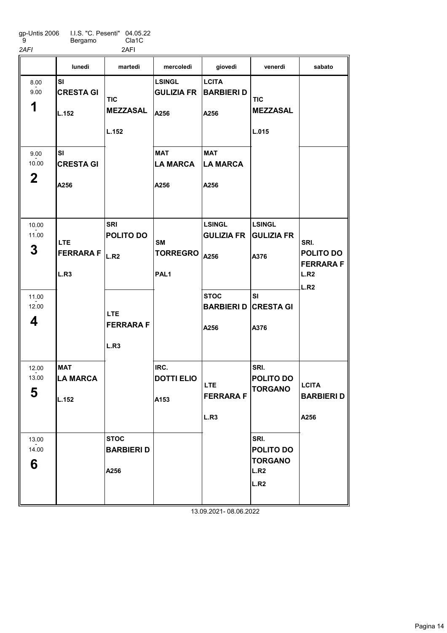gp-Untis 2006 9 I.I.S. "C. Pesenti" Bergamo 04.05.22 Cla1C 2AFI 2AFI

|                               | lunedì                                 | martedì                                     | mercoledì                                        | giovedì                                    | venerdì                                             | sabato                                                |
|-------------------------------|----------------------------------------|---------------------------------------------|--------------------------------------------------|--------------------------------------------|-----------------------------------------------------|-------------------------------------------------------|
| 8.00<br>9.00<br>1             | SI<br><b>CRESTA GI</b><br>L.152        | <b>TIC</b><br><b>MEZZASAL</b><br>L.152      | <b>LSINGL</b><br><b>GULIZIA FR</b><br>A256       | <b>LCITA</b><br><b>BARBIERI D</b><br>A256  | <b>TIC</b><br><b>MEZZASAL</b><br>L.015              |                                                       |
| 9.00<br>10.00<br>$\mathbf{2}$ | SI<br><b>CRESTA GI</b><br>A256         |                                             | <b>MAT</b><br><b>LA MARCA</b><br>A256            | <b>MAT</b><br><b>LA MARCA</b><br>A256      |                                                     |                                                       |
| 10.00<br>11.00<br>3           | <b>LTE</b><br><b>FERRARA F</b><br>L.R3 | <b>SRI</b><br>POLITO DO<br>L.R <sub>2</sub> | <b>SM</b><br><b>TORREGRO</b><br>PAL <sub>1</sub> | <b>LSINGL</b><br><b>GULIZIA FR</b><br>A256 | <b>LSINGL</b><br><b>GULIZIA FR</b><br>A376          | SRI.<br>POLITO DO<br><b>FERRARA F</b><br>L.R2<br>L.R2 |
| 11.00<br>12.00<br>4           |                                        | <b>LTE</b><br><b>FERRARA F</b><br>L.R3      |                                                  | <b>STOC</b><br><b>BARBIERI D</b><br>A256   | <b>SI</b><br><b>CRESTA GI</b><br>A376               |                                                       |
| 12.00<br>13.00<br>5           | <b>MAT</b><br><b>LA MARCA</b><br>L.152 |                                             | IRC.<br><b>DOTTI ELIO</b><br>A153                | <b>LTE</b><br><b>FERRARA F</b><br>L.R3     | SRI.<br><b>POLITO DO</b><br><b>TORGANO</b>          | <b>LCITA</b><br><b>BARBIERI D</b><br>A256             |
| 13.00<br>14.00<br>6           |                                        | <b>STOC</b><br><b>BARBIERI D</b><br>A256    |                                                  |                                            | SRI.<br>POLITO DO<br><b>TORGANO</b><br>L.R2<br>L.R2 |                                                       |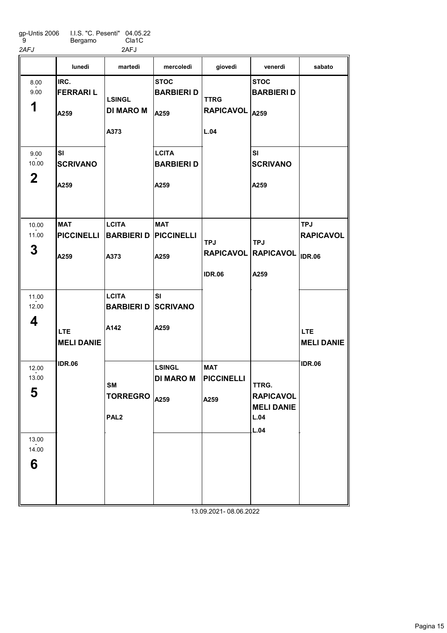gp-Untis 2006 9 I.I.S. "C. Pesenti" Bergamo 04.05.22 Cla1C

| 2AFJ                         |                                         | 2AFJ                                          |                                           |                                         |                                                                |                                                 |
|------------------------------|-----------------------------------------|-----------------------------------------------|-------------------------------------------|-----------------------------------------|----------------------------------------------------------------|-------------------------------------------------|
|                              | lunedì                                  | martedì                                       | mercoledì                                 | giovedì                                 | venerdì                                                        | sabato                                          |
| 8.00<br>9.00<br>1            | IRC.<br><b>FERRARIL</b><br>A259         | <b>LSINGL</b><br><b>DI MARO M</b><br>A373     | <b>STOC</b><br><b>BARBIERI D</b><br>A259  | <b>TTRG</b><br>RAPICAVOL A259<br>L.04   | <b>STOC</b><br><b>BARBIERI D</b>                               |                                                 |
| 9.00<br>10.00<br>$\mathbf 2$ | <b>SI</b><br><b>SCRIVANO</b><br>A259    |                                               | <b>LCITA</b><br><b>BARBIERI D</b><br>A259 |                                         | <b>SI</b><br><b>SCRIVANO</b><br>A259                           |                                                 |
| 10.00<br>11.00<br>3          | <b>MAT</b><br><b>PICCINELLI</b><br>A259 | <b>LCITA</b><br><b>BARBIERI D</b><br>A373     | <b>MAT</b><br><b>PICCINELLI</b><br>A259   | <b>TPJ</b><br><b>IDR.06</b>             | <b>TPJ</b><br>RAPICAVOL RAPICAVOL<br>A259                      | <b>TPJ</b><br><b>RAPICAVOL</b><br><b>IDR.06</b> |
| 11.00<br>12.00<br>4          | <b>LTE</b><br><b>MELI DANIE</b>         | <b>LCITA</b><br><b>BARBIERI D</b><br>A142     | <b>SI</b><br><b>SCRIVANO</b><br>A259      |                                         |                                                                | <b>LTE</b><br><b>MELI DANIE</b>                 |
| 12.00<br>13.00<br>5          | IDR.06                                  | SМ<br>TORREGRO $ _{A259}$<br>PAL <sub>2</sub> | <b>LSINGL</b><br><b>DI MARO M</b>         | <b>MAT</b><br><b>PICCINELLI</b><br>A259 | TTRG.<br><b>RAPICAVOL</b><br><b>MELI DANIE</b><br>L.04<br>L.04 | <b>IDR.06</b>                                   |
| 13.00<br>14.00<br>6          |                                         |                                               |                                           |                                         |                                                                |                                                 |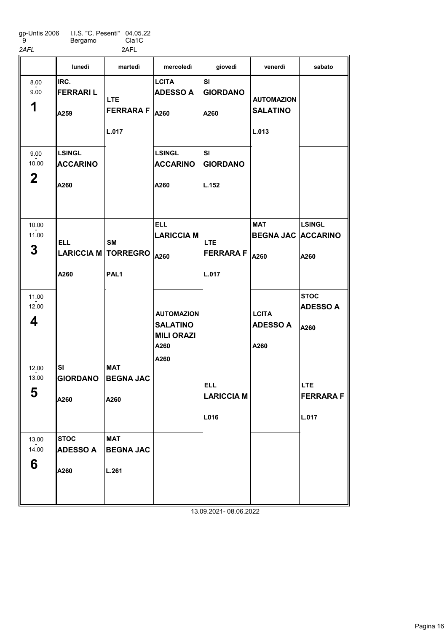gp-Untis 2006 9 I.I.S. "C. Pesenti" Bergamo 04.05.22 Cla1C 2AFL 2AFL

|                              | lunedì                                   | martedì                                          | mercoledì                                                                 | giovedì                                 | venerdì                                         | sabato                                  |
|------------------------------|------------------------------------------|--------------------------------------------------|---------------------------------------------------------------------------|-----------------------------------------|-------------------------------------------------|-----------------------------------------|
| 8.00<br>9.00<br>1            | IRC.<br><b>FERRARIL</b><br>A259          | <b>LTE</b><br><b>FERRARA F</b><br>L.017          | <b>LCITA</b><br><b>ADESSO A</b><br>A260                                   | SI<br><b>GIORDANO</b><br>A260           | <b>AUTOMAZION</b><br><b>SALATINO</b><br>L.013   |                                         |
| 9.00<br>10.00<br>$\mathbf 2$ | <b>LSINGL</b><br><b>ACCARINO</b><br>A260 |                                                  | <b>LSINGL</b><br><b>ACCARINO</b><br>A260                                  | <b>SI</b><br><b>GIORDANO</b><br>L.152   |                                                 |                                         |
| 10.00<br>11.00<br>3          | <b>ELL</b><br><b>LARICCIA M</b><br>A260  | <b>SM</b><br><b>TORREGRO</b><br>PAL <sub>1</sub> | <b>ELL</b><br><b>LARICCIA M</b><br>A260                                   | <b>LTE</b><br><b>FERRARAF</b><br>L.017  | <b>MAT</b><br><b>BEGNA JAC ACCARINO</b><br>A260 | <b>LSINGL</b><br>A260                   |
| 11.00<br>12.00<br>4          |                                          |                                                  | <b>AUTOMAZION</b><br><b>SALATINO</b><br><b>MILI ORAZI</b><br>A260<br>A260 |                                         | <b>LCITA</b><br><b>ADESSO A</b><br>A260         | <b>STOC</b><br><b>ADESSO A</b><br>A260  |
| 12.00<br>13.00<br>E.<br>ີບ   | <b>SI</b><br><b>GIORDANO</b><br>A260     | <b>MAT</b><br><b>BEGNA JAC</b><br>A260           |                                                                           | <b>ELL</b><br><b>LARICCIA M</b><br>L016 |                                                 | <b>LTE</b><br><b>FERRARA F</b><br>L.017 |
| 13.00<br>14.00<br>6          | <b>STOC</b><br><b>ADESSO A</b><br>A260   | <b>MAT</b><br><b>BEGNA JAC</b><br>L.261          |                                                                           |                                         |                                                 |                                         |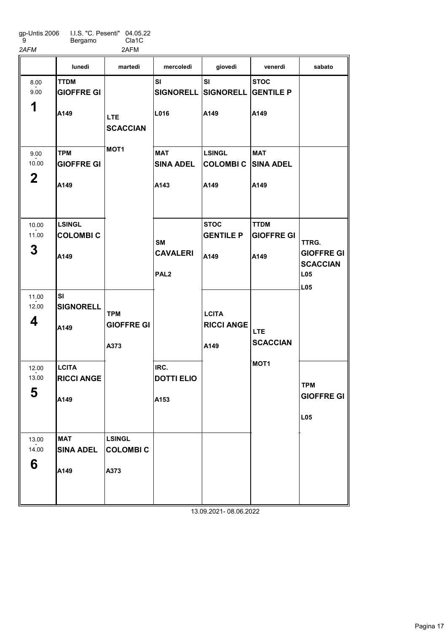gp-Untis 2006 9 I.I.S. "C. Pesenti" 04.05.22

2AFM 2AFM

Bergamo Cla1C

|                              | lunedì                                    | martedì                                  | mercoledì                                        | giovedì                                             | venerdì                                  | sabato                                                             |
|------------------------------|-------------------------------------------|------------------------------------------|--------------------------------------------------|-----------------------------------------------------|------------------------------------------|--------------------------------------------------------------------|
| 8.00<br>9.00<br>1            | <b>TTDM</b><br><b>GIOFFRE GI</b><br>A149  | <b>LTE</b><br><b>SCACCIAN</b>            | SI<br>L016                                       | SI<br>SIGNORELL SIGNORELL GENTILE P<br>A149         | <b>STOC</b><br>A149                      |                                                                    |
| 9.00<br>10.00<br>$\mathbf 2$ | <b>TPM</b><br><b>GIOFFRE GI</b><br>A149   | MOT <sub>1</sub>                         | <b>MAT</b><br><b>SINA ADEL</b><br>A143           | <b>LSINGL</b><br><b>COLOMBI C SINA ADEL</b><br>A149 | <b>MAT</b><br>A149                       |                                                                    |
| 10.00<br>11.00<br>3          | LSINGL<br><b>COLOMBIC</b><br>A149         |                                          | <b>SM</b><br><b>CAVALERI</b><br>PAL <sub>2</sub> | <b>STOC</b><br><b>GENTILE P</b><br>A149             | <b>TTDM</b><br><b>GIOFFRE GI</b><br>A149 | TTRG.<br><b>GIOFFRE GI</b><br><b>SCACCIAN</b><br>L05<br><b>L05</b> |
| 11.00<br>12.00<br>4          | <b>SI</b><br><b>SIGNORELL</b><br>A149     | <b>TPM</b><br><b>GIOFFRE GI</b><br>A373  |                                                  | <b>LCITA</b><br><b>RICCI ANGE</b><br>A149           | <b>LTE</b><br><b>SCACCIAN</b>            |                                                                    |
| 12.00<br>13.00<br>E<br>ວ     | <b>LCITA</b><br><b>RICCI ANGE</b><br>A149 |                                          | IRC.<br><b>DOTTI ELIO</b><br>A153                |                                                     | MOT <sub>1</sub>                         | <b>TPM</b><br><b>GIOFFRE GI</b><br>L05                             |
| 13.00<br>14.00<br>6          | <b>MAT</b><br><b>SINA ADEL</b><br>A149    | <b>LSINGL</b><br><b>COLOMBIC</b><br>A373 |                                                  |                                                     |                                          |                                                                    |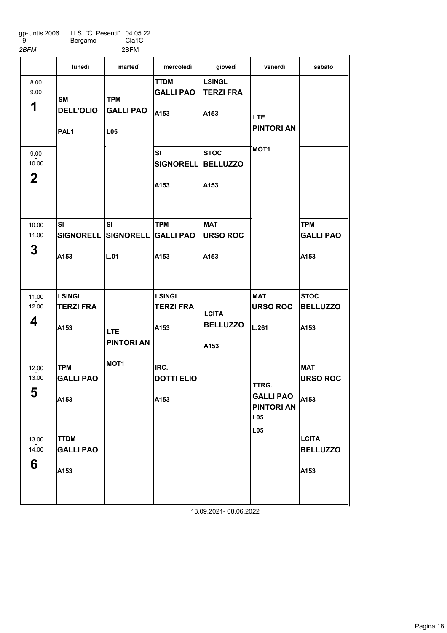gp-Untis 2006 9 I.I.S. "C. Pesenti" 04.05.22 Bergamo Cla1C 2BFM 2BFM

6

SI SIGNORELL SIGNORELL GALLI PAO A<sub>153</sub> LSINGL TERZI FRA A<sub>153</sub> TPM GALLI PAO A153 SI  $\mathsf{L}.01$ TTDM GALLI PAO A153 SI SIGNORELL BELLUZZO A153 TPM A153 LSINGL TERZI FRA A153 IRC. DOTTI ELIO  $|A153$ LSINGL TERZI FRA A153 **STOC** A153 MAT URSO ROC A153 MAT URSO ROC L.261 TPM GALLI PAO A153 **STOC** BELLUZZO A153 MAT URSO ROC lunedì martedì mercoledì giovedì venerdì sabato 1 8.00 - 9.00 2 9.00  $-2.00$ 3 10.00 - 11.00 4 11.00  $-2.00$ 5 12.00  $-2.00$ **SM** DELL'OLIO PAL1 TPM GALLI PAO L05 LTE PINTORI AN MOT<sub>1</sub> **LCITA BELLUZZO** A153 LTE PINTORI AN MOT1 TTRG. GALLI PAO PINTORI AN

TTDM GALLI PAO A<sub>153</sub> A153 **LCITA** BELLUZZO A<sub>153</sub> 13.00  $-2.00$ L05 L05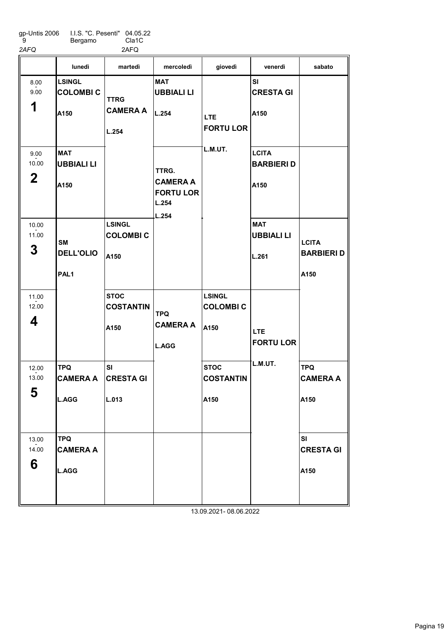gp-Untis 2006 9 I.I.S. "C. Pesenti" Bergamo 04.05.22 Cla1C 2AFQ 2AFQ

|                                 | lunedì                                                | martedì                                  | mercoledì                                                      | giovedì                                  | venerdì                                               | sabato                                    |
|---------------------------------|-------------------------------------------------------|------------------------------------------|----------------------------------------------------------------|------------------------------------------|-------------------------------------------------------|-------------------------------------------|
| 8.00<br>9.00<br>1               | <b>LSINGL</b><br><b>COLOMBI C</b><br>A <sub>150</sub> | <b>TTRG</b><br><b>CAMERA A</b><br>L.254  | <b>MAT</b><br><b>UBBIALI LI</b><br>L.254                       | <b>LTE</b><br><b>FORTU LOR</b>           | <b>SI</b><br><b>CRESTA GI</b><br>A150                 |                                           |
| 9.00<br>10.00<br>$\overline{2}$ | <b>MAT</b><br>UBBIALI LI<br>A150                      |                                          | TTRG.<br><b>CAMERA A</b><br><b>FORTU LOR</b><br>L.254<br>L.254 | L.M.UT.                                  | <b>LCITA</b><br><b>BARBIERI D</b><br>A <sub>150</sub> |                                           |
| 10.00<br>11.00<br>3             | <b>SM</b><br><b>DELL'OLIO</b><br>PAL1                 | <b>LSINGL</b><br><b>COLOMBIC</b><br>A150 |                                                                |                                          | <b>MAT</b><br><b>UBBIALI LI</b><br>L.261              | <b>LCITA</b><br><b>BARBIERI D</b><br>A150 |
| 11.00<br>12.00<br>4             |                                                       | <b>STOC</b><br><b>COSTANTIN</b><br>A150  | <b>TPQ</b><br><b>CAMERA A</b><br><b>L.AGG</b>                  | <b>LSINGL</b><br><b>COLOMBIC</b><br>A150 | <b>LTE</b><br><b>FORTU LOR</b>                        |                                           |
| 12.00<br>13.00<br>E.<br>່ບ      | <b>TPQ</b><br><b>CAMERA A</b><br>L.AGG                | SI<br><b>CRESTA GI</b><br>L.013          |                                                                | <b>STOC</b><br><b>COSTANTIN</b><br>A150  | L.M.UT.                                               | <b>TPQ</b><br><b>CAMERA A</b><br>A150     |
| 13.00<br>14.00<br>6             | <b>TPQ</b><br><b>CAMERA A</b><br><b>L.AGG</b>         |                                          |                                                                | 13.09.2021-08.06.2022                    |                                                       | <b>SI</b><br><b>CRESTA GI</b><br>A150     |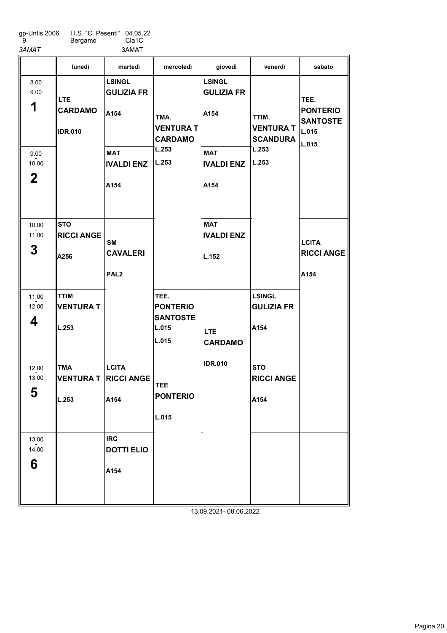| 9<br>3AMAT                    | Bergamo                                        | Cla <sub>1</sub> C<br>3AMAT                      |                                                              |                                            |                                            |                                                     |
|-------------------------------|------------------------------------------------|--------------------------------------------------|--------------------------------------------------------------|--------------------------------------------|--------------------------------------------|-----------------------------------------------------|
|                               | lunedì                                         | martedì                                          | mercoledì                                                    | giovedì                                    | venerdì                                    | sabato                                              |
| 8.00<br>9.00<br>1             | <b>LTE</b><br><b>CARDAMO</b><br><b>IDR.010</b> | <b>LSINGL</b><br><b>GULIZIA FR</b><br>A154       | TMA.<br><b>VENTURA T</b>                                     | <b>LSINGL</b><br><b>GULIZIA FR</b><br>A154 | TTIM.<br><b>VENTURA T</b>                  | TEE.<br><b>PONTERIO</b><br><b>SANTOSTE</b><br>L.015 |
| 9.00<br>10.00<br>$\mathbf{2}$ |                                                | <b>MAT</b><br><b>IVALDI ENZ</b><br>A154          | <b>CARDAMO</b><br>L.253<br>L.253                             | <b>MAT</b><br><b>IVALDI ENZ</b><br>A154    | <b>SCANDURA</b><br>L.253<br>L.253          | L.015                                               |
| 10.00<br>11.00<br>3           | <b>STO</b><br><b>RICCI ANGE</b><br>A256        | <b>SM</b><br><b>CAVALERI</b><br>PAL <sub>2</sub> |                                                              | <b>MAT</b><br><b>IVALDI ENZ</b><br>L.152   |                                            | <b>LCITA</b><br><b>RICCI ANGE</b><br>A154           |
| 11.00<br>12.00<br>4           | <b>TTIM</b><br><b>VENTURA T</b><br>L.253       |                                                  | TEE.<br><b>PONTERIO</b><br><b>SANTOSTE</b><br>L.015<br>L.015 | <b>LTE</b><br><b>CARDAMO</b>               | <b>LSINGL</b><br><b>GULIZIA FR</b><br>A154 |                                                     |
| 12.00<br>13.00<br>5           | <b>TMA</b><br>VENTURA T RICCI ANGE<br>L.253    | <b>LCITA</b><br>A154                             | <b>TEE</b><br><b>PONTERIO</b><br>L.015                       | <b>IDR.010</b>                             | <b>STO</b><br><b>RICCI ANGE</b><br>A154    |                                                     |
| 13.00<br>14.00<br>6           |                                                | <b>IRC</b><br><b>DOTTI ELIO</b><br>A154          |                                                              |                                            |                                            |                                                     |

gp-Untis 2006 I.I.S. "C. Pesenti" 04.05.22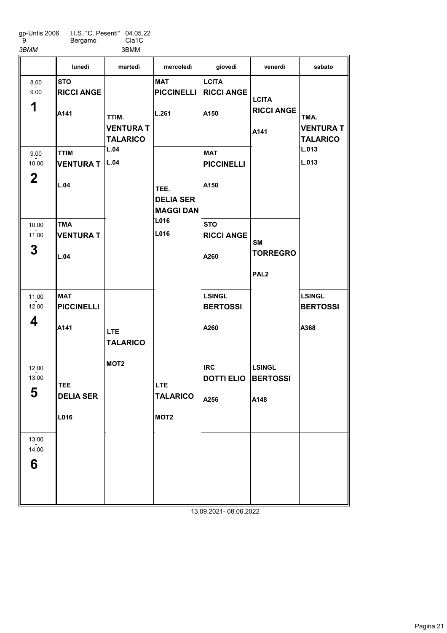gp-Untis 2006 9 I.I.S. "C. Pesenti" 04.05.22 Cla1C

Bergamo 3BMM 3BMM

|                              | lunedì                                  | martedì                                      | mercoledì                                         | giovedì                                   | venerdì                                   | sabato                                      |
|------------------------------|-----------------------------------------|----------------------------------------------|---------------------------------------------------|-------------------------------------------|-------------------------------------------|---------------------------------------------|
| 8.00<br>9.00<br>1            | <b>STO</b><br><b>RICCI ANGE</b><br>A141 | TTIM.<br><b>VENTURA T</b><br><b>TALARICO</b> | <b>MAT</b><br><b>PICCINELLI</b><br>L.261          | <b>LCITA</b><br><b>RICCI ANGE</b><br>A150 | <b>LCITA</b><br><b>RICCI ANGE</b><br>A141 | TMA.<br><b>VENTURA T</b><br><b>TALARICO</b> |
| 9.00<br>10.00<br>$\mathbf 2$ | <b>TTIM</b><br><b>VENTURA T</b><br>L.04 | L.04<br>L.04                                 | TEE.<br><b>DELIA SER</b><br><b>MAGGI DAN</b>      | <b>MAT</b><br><b>PICCINELLI</b><br>A150   |                                           | L.013<br>L.013                              |
| 10.00<br>11.00<br>3          | <b>TMA</b><br><b>VENTURA T</b><br>L.04  |                                              | <b>L016</b><br>L016                               | <b>STO</b><br><b>RICCI ANGE</b><br>A260   | SM<br><b>TORREGRO</b><br>PAL <sub>2</sub> |                                             |
| 11.00<br>12.00<br>4          | <b>MAT</b><br><b>PICCINELLI</b><br>A141 | <b>LTE</b><br><b>TALARICO</b>                |                                                   | <b>LSINGL</b><br><b>BERTOSSI</b><br>A260  |                                           | <b>LSINGL</b><br><b>BERTOSSI</b><br>A368    |
| 12.00<br>13.00<br>5          | <b>TEE</b><br><b>DELIA SER</b><br>L016  | MOT <sub>2</sub>                             | <b>LTE</b><br><b>TALARICO</b><br>MOT <sub>2</sub> | <b>IRC</b><br><b>DOTTI ELIO</b><br>A256   | <b>LSINGL</b><br><b>BERTOSSI</b><br>A148  |                                             |
| 13.00<br>14.00<br>6          |                                         |                                              |                                                   |                                           |                                           |                                             |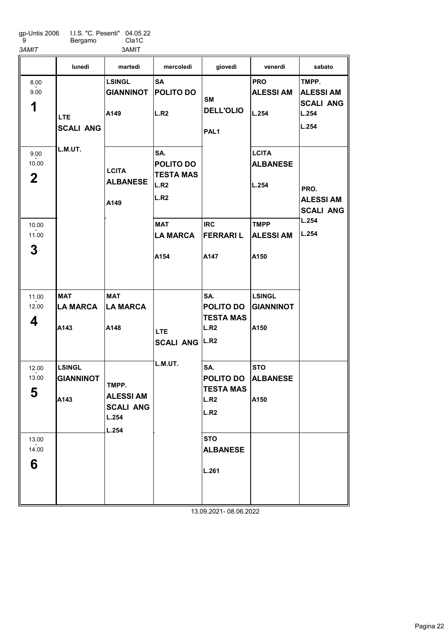| qp-Untis 2006 | LLS. "C. Pesenti" 04.05.22 |                    |
|---------------|----------------------------|--------------------|
| g             | Bergamo                    | Cla <sub>1</sub> C |
| 3AMIT         |                            | 3AMIT              |

|                              | lunedì                                    | martedì                                                         | mercoledì                                            | giovedì                                                         | venerdì                                   | sabato                                                          |
|------------------------------|-------------------------------------------|-----------------------------------------------------------------|------------------------------------------------------|-----------------------------------------------------------------|-------------------------------------------|-----------------------------------------------------------------|
| 8.00<br>9.00<br>1            | <b>LTE</b><br><b>SCALI ANG</b>            | <b>LSINGL</b><br><b>GIANNINOT</b><br>A149                       | <b>SA</b><br><b>POLITO DO</b><br>L.R2                | <b>SM</b><br><b>DELL'OLIO</b><br>PAL <sub>1</sub>               | <b>PRO</b><br><b>ALESSIAM</b><br>L.254    | TMPP.<br><b>ALESSI AM</b><br><b>SCALI ANG</b><br>L.254<br>L.254 |
| 9.00<br>10.00<br>$\mathbf 2$ | L.M.UT.                                   | <b>LCITA</b><br><b>ALBANESE</b><br>A149                         | SA.<br>POLITO DO<br><b>TESTA MAS</b><br>L.R2<br>L.R2 |                                                                 | <b>LCITA</b><br><b>ALBANESE</b><br>L.254  | PRO.<br><b>ALESSI AM</b><br><b>SCALI ANG</b>                    |
| 10.00<br>11.00<br>3          |                                           |                                                                 | <b>MAT</b><br><b>LA MARCA</b><br>A154                | <b>IRC</b><br><b>FERRARIL</b><br>A147                           | <b>TMPP</b><br><b>ALESSIAM</b><br>A150    | L.254<br>L.254                                                  |
| 11.00<br>12.00<br>4          | <b>MAT</b><br><b>LA MARCA</b><br>A143     | <b>MAT</b><br><b>LA MARCA</b><br>A148                           | LTE.<br><b>SCALI ANG</b>                             | SA.<br>POLITO DO<br><b>TESTA MAS</b><br>L.R2<br>L.R2            | <b>LSINGL</b><br><b>GIANNINOT</b><br>A150 |                                                                 |
| 12.00<br>13.00<br>5          | <b>LSINGL</b><br><b>GIANNINOT</b><br>A143 | TMPP.<br><b>ALESSI AM</b><br><b>SCALI ANG</b><br>L.254<br>L.254 | L.M.UT.                                              | SA.<br>POLITO DO<br><b>TESTA MAS</b><br>L.R2<br>L.R2            | <b>STO</b><br><b>ALBANESE</b><br>A150     |                                                                 |
| 13.00<br>14.00<br>6          |                                           |                                                                 |                                                      | <b>STO</b><br><b>ALBANESE</b><br>L.261<br>13.09.2021-08.06.2022 |                                           |                                                                 |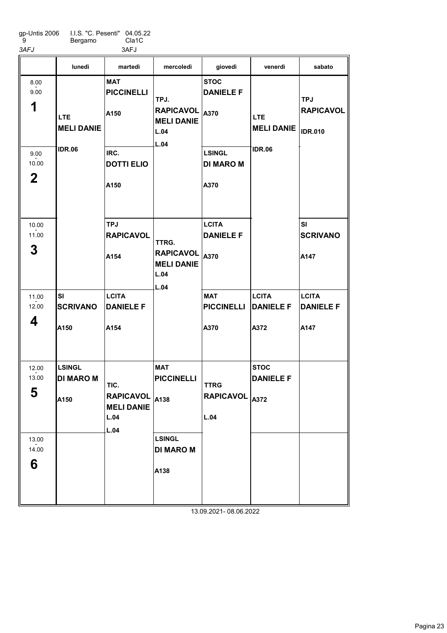| 3AFJ<br>3AFJ                                                                 |  |
|------------------------------------------------------------------------------|--|
| LLS. "C. Pesenti" 04.05.22<br>gp-Untis 2006<br>Cla <sub>1</sub> C<br>Bergamo |  |

|                                       | lunedì                                                | martedì                                                           | mercoledì                                                            | giovedì                                          | venerdì                                  | sabato                                           |
|---------------------------------------|-------------------------------------------------------|-------------------------------------------------------------------|----------------------------------------------------------------------|--------------------------------------------------|------------------------------------------|--------------------------------------------------|
| 8.00<br>9.00<br>1                     | LTE<br><b>MELI DANIE</b>                              | <b>MAT</b><br><b>PICCINELLI</b><br>A150                           | TPJ.<br><b>RAPICAVOL</b><br><b>MELI DANIE</b><br>L.04<br>L.04        | <b>STOC</b><br><b>DANIELE F</b><br>A370          | <b>LTE</b><br><b>MELI DANIE</b>          | <b>TPJ</b><br><b>RAPICAVOL</b><br><b>IDR.010</b> |
| 9.00<br>10.00<br>$\mathbf 2$          | <b>IDR.06</b>                                         | IRC.<br><b>DOTTI ELIO</b><br>A150                                 |                                                                      | <b>LSINGL</b><br><b>DI MARO M</b><br>A370        | <b>IDR.06</b>                            |                                                  |
| 10.00<br>11.00<br>3                   |                                                       | <b>TPJ</b><br><b>RAPICAVOL</b><br>A154                            | TTRG.<br><b>RAPICAVOL</b><br><b>MELI DANIE</b><br>L.04<br>L.04       | <b>LCITA</b><br><b>DANIELE F</b><br>A370         |                                          | <b>SI</b><br><b>SCRIVANO</b><br>A147             |
| 11.00<br>12.00<br>4                   | <b>SI</b><br><b>SCRIVANO</b><br>A150                  | <b>LCITA</b><br><b>DANIELE F</b><br>A154                          |                                                                      | <b>MAT</b><br><b>PICCINELLI</b><br>A370          | <b>LCITA</b><br><b>DANIELE F</b><br>A372 | <b>LCITA</b><br><b>DANIELE F</b><br>A147         |
| 12.00<br>13.00<br>5<br>13.00<br>14.00 | <b>LSINGL</b><br><b>DI MARO M</b><br>A <sub>150</sub> | TIC.<br>RAPICAVOL $ _{A138}$<br><b>MELI DANIE</b><br>L.04<br>L.04 | <b>MAT</b><br><b>PICCINELLI</b><br><b>LSINGL</b><br><b>DI MARO M</b> | <b>TTRG</b><br>RAPICAVOL <sub>A372</sub><br>L.04 | <b>STOC</b><br><b>DANIELE F</b>          |                                                  |
| 6                                     |                                                       |                                                                   | A138                                                                 |                                                  |                                          |                                                  |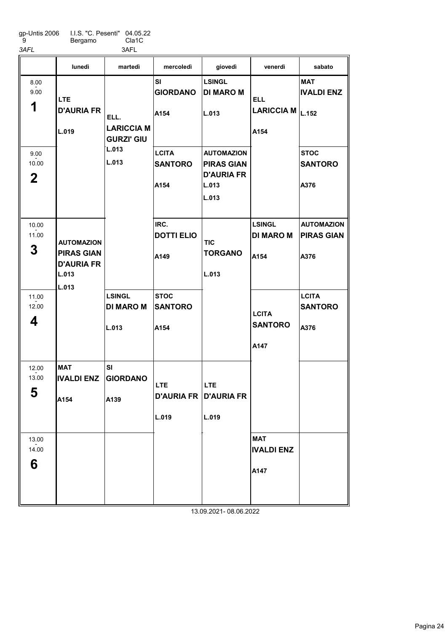| qp-Untis 2006 | I.I.S. "C. Pesenti" 04.05.22 |       |
|---------------|------------------------------|-------|
| g             | Bergamo                      | Cla1C |
| 3AFL          |                              | 3AFL  |

MAT IVALDI ENZ A<sub>154</sub> LSINGL DI MARO M L.013 SI GIORDANO A139 SI GIORDANO A154 **LCITA SANTORO** A154 IRC. DOTTI ELIO A149 **STOC SANTORO** A154 LSINGL DI MARO M L.013 AUTOMAZION PIRAS GIAN D'AURIA FR L.013 L.013 LSINGL DI MARO M A154 MAT IVALDI ENZ A147 MAT IVALDI ENZ LARICCIA M $\vert_{\rm L.152}$ **STOC SANTORO** A376 AUTOMAZION PIRAS GIAN A376 **LCITA** SANTORO A376 lunedì martedì mercoledì giovedì venerdì sabato 1 8.00 - 9.00 2 9.00  $-2.00$ 3 10.00 - 11.00 4 11.00  $-2.00$ 5 12.00  $-2.00$ 6 13.00  $-2.00$ LTE D'AURIA FR L.019 AUTOMAZION PIRAS GIAN D'AURIA FR L.013 L.013 ELL. LARICCIA M GURZI' GIU L.013 L.013 LTE D'AURIA FR D'AURIA FR L.019 **TIC** TORGANO L.013 LTE L.019 ELL A154 **LCITA SANTORO** A147 13.09.2021- 08.06.2022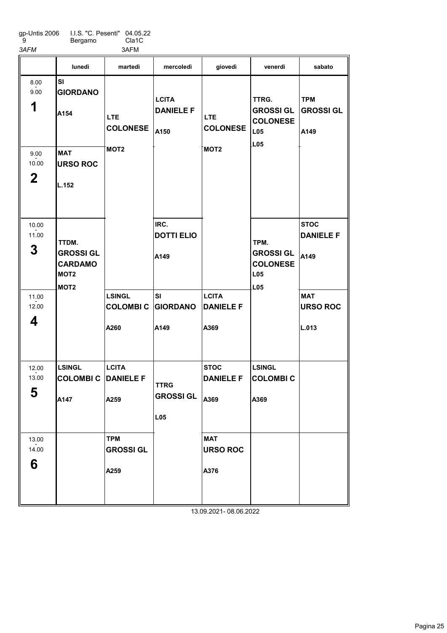| gp-Untis 2006 | LLS. "C. Pesenti" 04.05.22 |       |
|---------------|----------------------------|-------|
| - 9           | Bergamo                    | Cla1C |

3AFM 3AFM

|    | <b>Dulyanio</b> | <b>VIUTU</b><br>3AFM |           |         |         |        |
|----|-----------------|----------------------|-----------|---------|---------|--------|
|    | lunedì          | martedì              | mercoledì | giovedì | venerdì | sabato |
| SI |                 |                      |           |         |         |        |

| 8.00<br>9.00<br>1<br>9.00<br>10.00<br>$\mathbf{2}$ | SI<br><b>GIORDANO</b><br>A154<br><b>MAT</b><br><b>URSO ROC</b><br>L.152             | <b>LTE</b><br><b>COLONESE</b><br>MOT <sub>2</sub> | <b>LCITA</b><br><b>DANIELE F</b><br>A150                                  | LTE.<br><b>COLONESE</b><br>MOT <sub>2</sub> | TTRG.<br><b>GROSSI GL</b><br><b>COLONESE</b><br><b>L05</b><br>LO5     | <b>TPM</b><br><b>GROSSI GL</b><br>A149                                            |
|----------------------------------------------------|-------------------------------------------------------------------------------------|---------------------------------------------------|---------------------------------------------------------------------------|---------------------------------------------|-----------------------------------------------------------------------|-----------------------------------------------------------------------------------|
| 10.00<br>11.00<br>3<br>11.00<br>12.00<br>4         | TTDM.<br><b>GROSSI GL</b><br><b>CARDAMO</b><br>MOT <sub>2</sub><br>MOT <sub>2</sub> | <b>LSINGL</b><br><b>COLOMBIC</b><br>A260          | IRC.<br><b>DOTTI ELIO</b><br>A149<br><b>SI</b><br><b>GIORDANO</b><br>A149 | <b>LCITA</b><br><b>DANIELE F</b><br>A369    | TPM.<br><b>GROSSI GL</b><br><b>COLONESE</b><br>L <sub>05</sub><br>L05 | <b>STOC</b><br><b>DANIELE F</b><br>A149<br><b>MAT</b><br><b>URSO ROC</b><br>L.013 |
| 12.00                                              | <b>LSINGL</b>                                                                       | <b>LCITA</b>                                      |                                                                           | <b>STOC</b>                                 | <b>LSINGL</b>                                                         |                                                                                   |
| 13.00<br>5                                         | <b>COLOMBI C DANIELE F</b>                                                          |                                                   | <b>TTRG</b>                                                               | <b>DANIELE F</b>                            | <b>COLOMBIC</b>                                                       |                                                                                   |
|                                                    | A147                                                                                | A259                                              | <b>GROSSI GL</b>                                                          | A369                                        | A369                                                                  |                                                                                   |
|                                                    |                                                                                     |                                                   | L05                                                                       |                                             |                                                                       |                                                                                   |
| 13.00                                              |                                                                                     | <b>TPM</b>                                        |                                                                           | <b>MAT</b>                                  |                                                                       |                                                                                   |
| 14.00<br>6                                         |                                                                                     | <b>GROSSI GL</b>                                  |                                                                           | <b>URSO ROC</b>                             |                                                                       |                                                                                   |
|                                                    |                                                                                     | A259                                              |                                                                           | A376                                        |                                                                       |                                                                                   |
|                                                    |                                                                                     |                                                   |                                                                           |                                             |                                                                       |                                                                                   |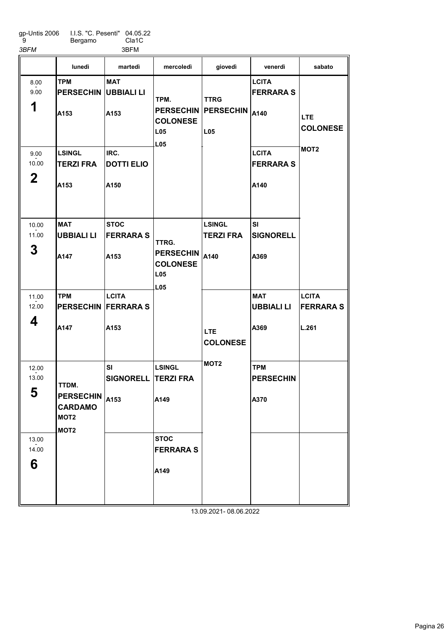gp-Untis 2006 9 I.I.S. "C. Pesenti" Bergamo 04.05.22

Cla1C 3BFM 3BFM

|                                 | lunedì                                                                                                                          | martedì                                 | mercoledì                                                                          | giovedì                                                           | venerdì                                  | sabato                                   |
|---------------------------------|---------------------------------------------------------------------------------------------------------------------------------|-----------------------------------------|------------------------------------------------------------------------------------|-------------------------------------------------------------------|------------------------------------------|------------------------------------------|
| 8.00<br>9.00<br>1               | <b>TPM</b><br><b>PERSECHIN</b><br>A153                                                                                          | <b>MAT</b><br><b>UBBIALI LI</b><br>A153 | TPM.<br><b>COLONESE</b><br>L <sub>05</sub><br>L <sub>05</sub>                      | <b>TTRG</b><br><b>PERSECHIN PERSECHIN A140</b><br>L <sub>05</sub> | <b>LCITA</b><br><b>FERRARAS</b>          | <b>LTE</b><br><b>COLONESE</b>            |
| 9.00<br>10.00<br>$\overline{2}$ | LSINGL<br><b>TERZI FRA</b><br>A <sub>153</sub>                                                                                  | IRC.<br><b>DOTTI ELIO</b><br>A150       |                                                                                    |                                                                   | <b>LCITA</b><br><b>FERRARA S</b><br>A140 | MOT <sub>2</sub>                         |
| 10.00<br>11.00<br>3             | <b>MAT</b><br>UBBIALI LI<br>A147                                                                                                | <b>STOC</b><br><b>FERRARA S</b><br>A153 | TTRG.<br><b>PERSECHIN</b><br><b>COLONESE</b><br>L <sub>05</sub><br>L <sub>05</sub> | <b>LSINGL</b><br><b>TERZI FRA</b><br>A140                         | SI<br><b>SIGNORELL</b><br>A369           |                                          |
| 11.00<br>12.00<br>4             | <b>TPM</b><br><b>PERSECHIN FERRARA S</b><br>A147                                                                                | <b>LCITA</b><br>A153                    |                                                                                    | <b>LTE</b><br><b>COLONESE</b>                                     | <b>MAT</b><br><b>UBBIALI LI</b><br>A369  | <b>LCITA</b><br><b>FERRARAS</b><br>L.261 |
| 12.00<br>13.00<br>E.<br>່ວ      | TTDM.<br>$\overline{\mathsf{P}$ ERSECHIN $\mathsf{I}_{\mathsf{A153}}$<br><b>CARDAMO</b><br>MOT <sub>2</sub><br>MOT <sub>2</sub> | <b>SI</b><br><b>SIGNORELL</b>           | <b>LSINGL</b><br><b>TERZI FRA</b><br>A149                                          | MOT <sub>2</sub>                                                  | <b>TPM</b><br><b>PERSECHIN</b><br>A370   |                                          |
| 13.00<br>14.00<br>6             |                                                                                                                                 |                                         | <b>STOC</b><br><b>FERRARA S</b><br>A149                                            |                                                                   |                                          |                                          |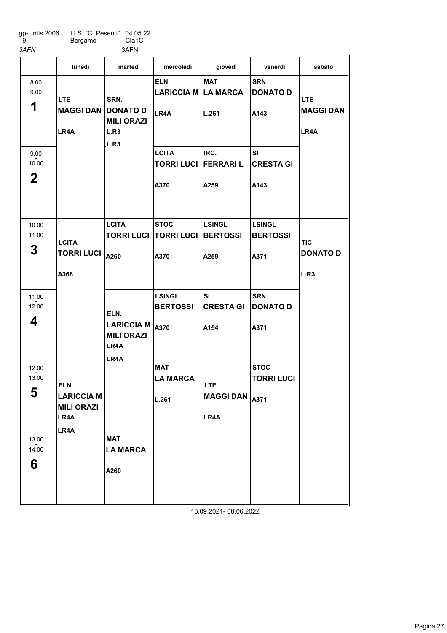gp-Untis 2006 9 I.I.S. "C. Pesenti" Bergamo 04.05.22 Cla1C

3AFN 3AFN lunedì martedì mercoledì giovedì venerdì sabato

|                              | lunedì                                                         | martedì                                                        | mercoledì                                 | giovedì                                    | venerdì                                  | sabato                                |
|------------------------------|----------------------------------------------------------------|----------------------------------------------------------------|-------------------------------------------|--------------------------------------------|------------------------------------------|---------------------------------------|
| 8.00<br>9.00<br>1            | LTE.<br><b>MAGGI DAN</b><br>LR4A                               | SRN.<br><b>DONATO D</b><br><b>MILI ORAZI</b><br>L.R3<br>L.R3   | <b>ELN</b><br>LARICCIA M LA MARCA<br>LR4A | <b>MAT</b><br>L.261                        | <b>SRN</b><br><b>DONATO D</b><br>A143    | LTE.<br><b>MAGGI DAN</b><br>LR4A      |
| 9.00<br>10.00<br>$\mathbf 2$ |                                                                |                                                                | <b>LCITA</b><br><b>TORRI LUCI</b><br>A370 | IRC.<br><b>FERRARIL</b><br>A259            | <b>SI</b><br><b>CRESTA GI</b><br>A143    |                                       |
| 10.00<br>11.00<br>3          | <b>LCITA</b><br><b>TORRI LUCI</b><br>A368                      | <b>LCITA</b><br><b>TORRI LUCI</b><br>A260                      | <b>STOC</b><br><b>TORRI LUCI</b><br>A370  | <b>LSINGL</b><br><b>BERTOSSI</b><br>A259   | <b>LSINGL</b><br><b>BERTOSSI</b><br>A371 | <b>TIC</b><br><b>DONATO D</b><br>L.R3 |
| 11.00<br>12.00<br>4          |                                                                | ELN.<br><b>LARICCIA M</b><br><b>MILI ORAZI</b><br>LR4A<br>LR4A | <b>LSINGL</b><br><b>BERTOSSI</b><br>A370  | <b>SI</b><br><b>CRESTA GI</b><br>A154      | <b>SRN</b><br><b>DONATO D</b><br>A371    |                                       |
| 12.00<br>13.00<br>5          | ELN.<br><b>LARICCIA M</b><br><b>MILI ORAZI</b><br>LR4A<br>LR4A |                                                                | <b>MAT</b><br><b>LA MARCA</b><br>L.261    | <b>LTE</b><br>MAGGI DAN $ _{A371}$<br>LR4A | <b>STOC</b><br><b>TORRI LUCI</b>         |                                       |
| 13.00<br>14.00<br>6          |                                                                | <b>MAT</b><br><b>LA MARCA</b><br>A260                          |                                           |                                            |                                          |                                       |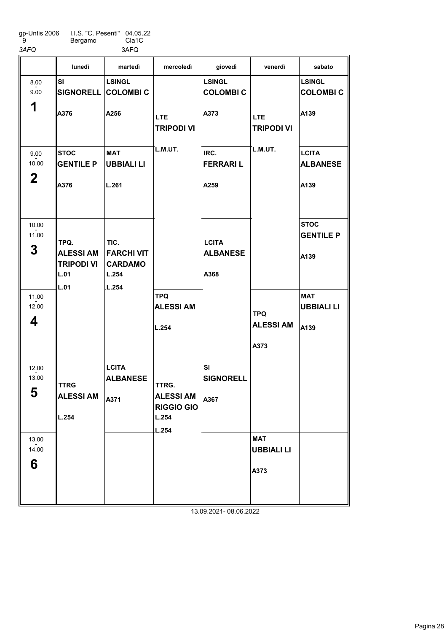|                     | lunedì                                        | martedì                                      | mercoledì                                      | giovedì                          | venerdì                         | sabato                           |
|---------------------|-----------------------------------------------|----------------------------------------------|------------------------------------------------|----------------------------------|---------------------------------|----------------------------------|
| 8.00<br>9.00        | <b>SI</b><br><b>SIGNORELL COLOMBI C</b>       | <b>LSINGL</b>                                |                                                | <b>LSINGL</b><br><b>COLOMBIC</b> |                                 | <b>LSINGL</b><br><b>COLOMBIC</b> |
| 1                   | A376                                          | A256                                         | <b>LTE</b><br><b>TRIPODI VI</b>                | A373                             | <b>LTE</b><br><b>TRIPODI VI</b> | A139                             |
| 9.00<br>10.00       | <b>STOC</b><br><b>GENTILE P</b>               | <b>MAT</b><br>UBBIALI LI                     | L.M.UT.                                        | IRC.<br><b>FERRARIL</b>          | L.M.UT.                         | <b>LCITA</b><br><b>ALBANESE</b>  |
| $\mathbf 2$         | A376                                          | L.261                                        |                                                | A259                             |                                 | A139                             |
| 10.00<br>11.00<br>3 | TPQ.                                          | TIC.                                         |                                                | <b>LCITA</b>                     |                                 | <b>STOC</b><br><b>GENTILE P</b>  |
|                     | <b>ALESSI AM</b><br><b>TRIPODI VI</b><br>L.01 | <b>FARCHI VIT</b><br><b>CARDAMO</b><br>L.254 |                                                | <b>ALBANESE</b><br>A368          |                                 | A139                             |
| 11.00<br>12.00      | L.01                                          | L.254                                        | <b>TPQ</b><br><b>ALESSI AM</b>                 |                                  | <b>TPQ</b>                      | <b>MAT</b><br><b>UBBIALI LI</b>  |
| 4                   |                                               |                                              | L.254                                          |                                  | <b>ALESSI AM</b><br>A373        | A139                             |
| 12.00<br>13.00      | <b>TTRG</b>                                   | <b>LCITA</b><br><b>ALBANESE</b>              | TTRG.                                          | SI<br><b>SIGNORELL</b>           |                                 |                                  |
| 5                   | <b>ALESSI AM</b><br>L.254                     | A371                                         | <b>ALESSI AM</b><br><b>RIGGIO GIO</b><br>L.254 | A367                             |                                 |                                  |
|                     |                                               |                                              | L.254                                          |                                  |                                 |                                  |
| 13.00<br>14.00      |                                               |                                              |                                                |                                  | <b>MAT</b><br><b>UBBIALI LI</b> |                                  |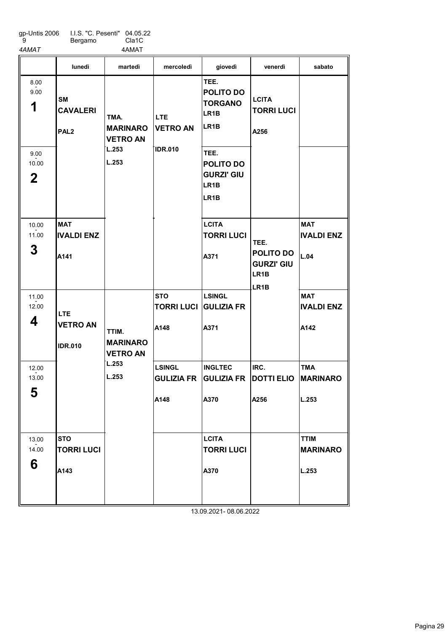| gp-Untis 2006 | LLS. "C. Pesenti" 04.05.22 |       |
|---------------|----------------------------|-------|
| -9            | Bergamo                    | Cla1C |

ıy. Cla1C 4AMAT 4AMAT

|                                                   | lunedì                                           | martedì                                                      | mercoledì                                   | giovedì                                                                                                                                                     | venerdì                                                                          | sabato                                  |
|---------------------------------------------------|--------------------------------------------------|--------------------------------------------------------------|---------------------------------------------|-------------------------------------------------------------------------------------------------------------------------------------------------------------|----------------------------------------------------------------------------------|-----------------------------------------|
| 8.00<br>9.00<br>1<br>9.00<br>10.00<br>$\mathbf 2$ | <b>SM</b><br><b>CAVALERI</b><br>PAL <sub>2</sub> | TMA.<br><b>MARINARO</b><br><b>VETRO AN</b><br>L.253<br>L.253 | LTE.<br><b>VETRO AN</b><br><b>IDR.010</b>   | TEE.<br>POLITO DO<br><b>TORGANO</b><br>LR <sub>1</sub> B<br>LR <sub>1</sub> B<br>TEE.<br><b>POLITO DO</b><br><b>GURZI' GIU</b><br>LR <sub>1</sub> B<br>LR1B | <b>LCITA</b><br><b>TORRI LUCI</b><br>A256                                        |                                         |
| 10.00<br>11.00<br>3                               | <b>MAT</b><br><b>IVALDI ENZ</b><br>A141          |                                                              |                                             | <b>LCITA</b><br><b>TORRI LUCI</b><br>A371                                                                                                                   | TEE.<br>POLITO DO<br><b>GURZI' GIU</b><br>LR <sub>1</sub> B<br>LR <sub>1</sub> B | <b>MAT</b><br><b>IVALDI ENZ</b><br>L.04 |
| 11.00<br>12.00<br>4                               | <b>LTE</b><br><b>VETRO AN</b><br><b>IDR.010</b>  | TTIM.<br><b>MARINARO</b><br><b>VETRO AN</b>                  | <b>STO</b><br>TORRI LUCI GULIZIA FR<br>A148 | <b>LSINGL</b><br>A371                                                                                                                                       |                                                                                  | <b>MAT</b><br><b>IVALDI ENZ</b><br>A142 |
| 12.00<br>13.00<br>F<br>C                          |                                                  | L.253<br>L.253                                               | <b>LSINGL</b><br><b>GULIZIA FR</b><br>A148  | <b>INGLTEC</b><br><b>GULIZIA FR</b><br>A370                                                                                                                 | IRC.<br><b>DOTTI ELIO</b><br>A256                                                | <b>TMA</b><br><b>MARINARO</b><br>L.253  |
| 13.00<br>14.00<br>6                               | <b>STO</b><br><b>TORRI LUCI</b><br>A143          |                                                              |                                             | <b>LCITA</b><br><b>TORRI LUCI</b><br>A370                                                                                                                   |                                                                                  | <b>TTIM</b><br><b>MARINARO</b><br>L.253 |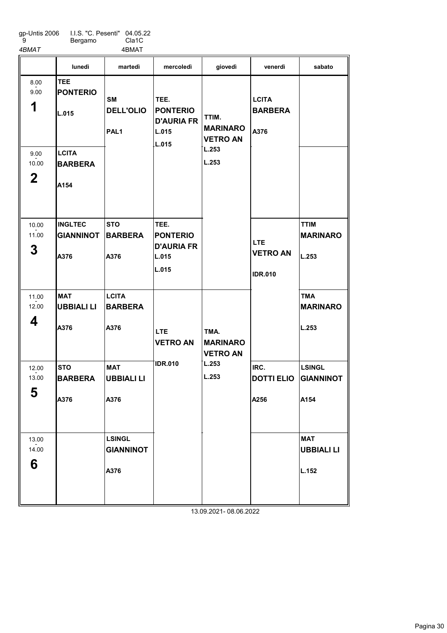gp-Untis 2006 9 I.I.S. "C. Pesenti"

Bergamo 04.05.22 Cla1C

4BMAT 4BMAT

|                                                   | lunedì                                                                           | martedì                                           | mercoledì                                                      | giovedì                                                       | venerdì                                         | sabato                                    |
|---------------------------------------------------|----------------------------------------------------------------------------------|---------------------------------------------------|----------------------------------------------------------------|---------------------------------------------------------------|-------------------------------------------------|-------------------------------------------|
| 8.00<br>9.00<br>1<br>9.00<br>10.00<br>$\mathbf 2$ | <b>TEE</b><br><b>PONTERIO</b><br>L.015<br><b>LCITA</b><br><b>BARBERA</b><br>A154 | <b>SM</b><br><b>DELL'OLIO</b><br>PAL <sub>1</sub> | TEE.<br><b>PONTERIO</b><br><b>D'AURIA FR</b><br>L.015<br>L.015 | TTIM.<br><b>MARINARO</b><br><b>VETRO AN</b><br>L.253<br>L.253 | <b>LCITA</b><br><b>BARBERA</b><br>A376          |                                           |
| 10.00<br>11.00<br>3                               | <b>INGLTEC</b><br><b>GIANNINOT</b><br>A376                                       | <b>STO</b><br><b>BARBERA</b><br>A376              | TEE.<br><b>PONTERIO</b><br><b>D'AURIA FR</b><br>L.015<br>L.015 |                                                               | <b>LTE</b><br><b>VETRO AN</b><br><b>IDR.010</b> | <b>TTIM</b><br><b>MARINARO</b><br>L.253   |
| 11.00<br>12.00<br>4                               | <b>MAT</b><br><b>UBBIALI LI</b><br>A376                                          | <b>LCITA</b><br><b>BARBERA</b><br>A376            | LTE.<br><b>VETRO AN</b>                                        | TMA.<br><b>MARINARO</b><br><b>VETRO AN</b>                    |                                                 | <b>TMA</b><br><b>MARINARO</b><br>L.253    |
| 12.00<br>13.00<br>E<br>ა                          | <b>STO</b><br><b>BARBERA</b><br>A376                                             | <b>MAT</b><br><b>UBBIALI LI</b><br>A376           | <b>IDR.010</b>                                                 | L.253<br>L.253                                                | IRC.<br><b>DOTTI ELIO</b><br>A256               | <b>LSINGL</b><br><b>GIANNINOT</b><br>A154 |
| 13.00<br>14.00<br>6                               |                                                                                  | <b>LSINGL</b><br><b>GIANNINOT</b><br>A376         |                                                                |                                                               |                                                 | <b>MAT</b><br><b>UBBIALI LI</b><br>L.152  |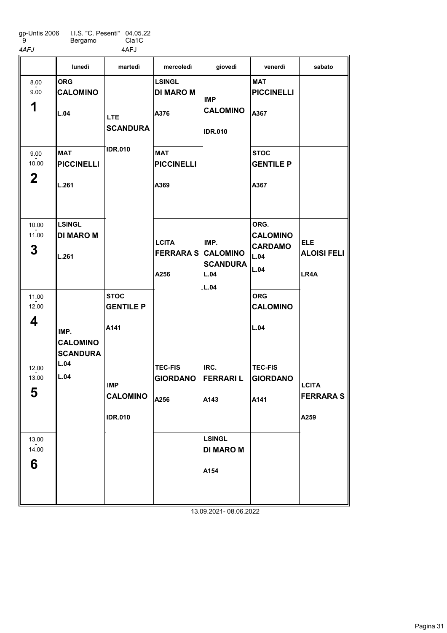gp-Untis 2006 ة' I.I.S. "C. Pesenti" 04.05.22 Bergamo Cla1C

4AFJ 4AFJ

ORG CALOMINO L.04 **MAT** PICCINELLI L.261 LSINGL DI MARO M L.261 **STOC** GENTILE P A141 LSINGL DI MARO M A376 MAT PICCINELLI A369 TEC-FIS GIORDANO A256 IRC. FERRARI L A143 LSINGL DI MARO M A154 MAT PICCINELLI A367 **STOC** GENTILE P A367 ORG. CALOMINO **CARDAMO** L.04 L.04 ORG CALOMINO L.04 TEC-FIS GIORDANO A141 lunedì martedì mercoledì giovedì venerdì sabato 1 8.00 - 9.00 2 9.00  $-2.00$ 3 10.00 - 11.00 4 11.00  $-2.00$ 5 12.00  $-2.00$ 6 13.00  $-2.00$ IMP. CALOMINO **SCANDURA** L.04 L.04 LTE **SCANDURA** IDR.010 IMP CALOMINO IDR.010 **LCITA** FERRARA S A256 IMP CALOMINO IDR.010 IMP. CALOMINO **SCANDURA** L.04 L.04 ELE ALOISI FELI LR4A **LCITA** FERRARA S A259 13.09.2021- 08.06.2022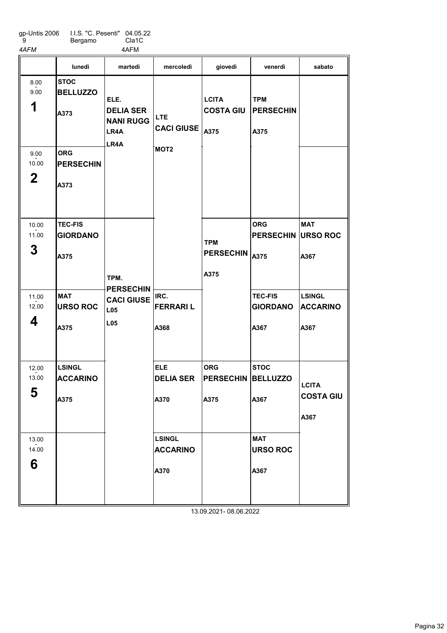| qp-Untis 2006 | I.I.S. "C. Pesenti" 04.05.22 |       |
|---------------|------------------------------|-------|
| -9            | Bergamo                      | Cla1C |

Bergamo 4AFM 4AFM

|                               | lunedì                                    | martedì                                                      | mercoledì                                  | giovedì                                | venerdì                                         | sabato                                   |
|-------------------------------|-------------------------------------------|--------------------------------------------------------------|--------------------------------------------|----------------------------------------|-------------------------------------------------|------------------------------------------|
| 8.00<br>9.00<br>1             | <b>STOC</b><br><b>BELLUZZO</b><br>A373    | ELE.<br><b>DELIA SER</b><br><b>NANI RUGG</b><br>LR4A<br>LR4A | <b>LTE</b><br><b>CACI GIUSE</b> $ _{A375}$ | <b>LCITA</b><br><b>COSTA GIU</b>       | <b>TPM</b><br><b>PERSECHIN</b><br>A375          |                                          |
| 9.00<br>10.00<br>$\mathbf{2}$ | <b>ORG</b><br><b>PERSECHIN</b><br>A373    |                                                              | MOT <sub>2</sub>                           |                                        |                                                 |                                          |
| 10.00<br>11.00<br>3           | <b>TEC-FIS</b><br><b>GIORDANO</b><br>A375 | TPM.                                                         |                                            | <b>TPM</b><br><b>PERSECHIN</b><br>A375 | <b>ORG</b><br><b>PERSECHIN URSO ROC</b><br>A375 | <b>MAT</b><br>A367                       |
| 11.00<br>12.00<br>4           | <b>MAT</b><br><b>URSO ROC</b><br>A375     | <b>PERSECHIN</b><br><b>CACI GIUSE</b><br><b>L05</b><br>L05   | IRC.<br><b>FERRARIL</b><br>A368            |                                        | <b>TEC-FIS</b><br><b>GIORDANO</b><br>A367       | <b>LSINGL</b><br><b>ACCARINO</b><br>A367 |
| 12.00<br>13.00<br>E<br>ა      | LSINGL<br><b>ACCARINO</b><br>A375         |                                                              | <b>ELE</b><br><b>DELIA SER</b><br>A370     | <b>ORG</b><br><b>PERSECHIN</b><br>A375 | <b>STOC</b><br><b>BELLUZZO</b><br>A367          | <b>LCITA</b><br><b>COSTA GIU</b><br>A367 |
| 13.00<br>14.00<br>6           |                                           |                                                              | <b>LSINGL</b><br><b>ACCARINO</b><br>A370   |                                        | <b>MAT</b><br><b>URSO ROC</b><br>A367           |                                          |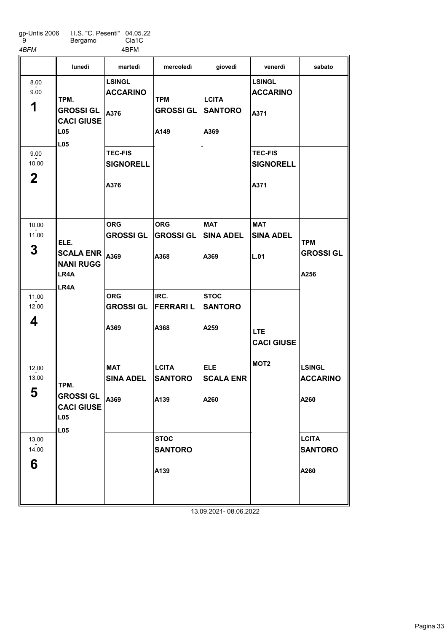| qp-Untis 2006 | LLS. "C. Pesenti" 04.05.22 |       |
|---------------|----------------------------|-------|
| -9            | Bergamo                    | Cla1C |

4BFM 4BFM

|                              | lunedì                                                                   | martedì                                    | mercoledì                              | giovedì                                | venerdì                                    | sabato                                   |
|------------------------------|--------------------------------------------------------------------------|--------------------------------------------|----------------------------------------|----------------------------------------|--------------------------------------------|------------------------------------------|
| 8.00<br>9.00<br>1            | TPM.<br><b>GROSSI GL</b><br><b>CACI GIUSE</b><br>L <sub>05</sub><br>LL05 | <b>LSINGL</b><br><b>ACCARINO</b><br>A376   | <b>TPM</b><br><b>GROSSI GL</b><br>A149 | <b>LCITA</b><br><b>SANTORO</b><br>A369 | <b>LSINGL</b><br><b>ACCARINO</b><br>A371   |                                          |
| 9.00<br>10.00<br>$\mathbf 2$ |                                                                          | <b>TEC-FIS</b><br><b>SIGNORELL</b><br>A376 |                                        |                                        | <b>TEC-FIS</b><br><b>SIGNORELL</b><br>A371 |                                          |
| 10.00<br>11.00<br>3          | ELE.<br><b>SCALA ENR</b><br><b>NANI RUGG</b><br>LR4A<br>LR4A             | <b>ORG</b><br><b>GROSSI GL</b><br>A369     | <b>ORG</b><br><b>GROSSI GL</b><br>A368 | <b>MAT</b><br><b>SINA ADEL</b><br>A369 | <b>MAT</b><br><b>SINA ADEL</b><br>L.01     | <b>TPM</b><br><b>GROSSI GL</b><br>A256   |
| 11.00<br>12.00<br>4          |                                                                          | <b>ORG</b><br><b>GROSSI GL</b><br>A369     | IRC.<br><b>FERRARIL</b><br>A368        | <b>STOC</b><br><b>SANTORO</b><br>A259  | <b>LTE</b><br><b>CACI GIUSE</b>            |                                          |
| 12.00<br>13.00<br>►<br>ა     | TPM.<br><b>GROSSI GL</b><br><b>CACI GIUSE</b><br>L05<br>L <sub>05</sub>  | <b>MAT</b><br><b>SINA ADEL</b><br>A369     | <b>LCITA</b><br><b>SANTORO</b><br>A139 | <b>ELE</b><br><b>SCALA ENR</b><br>A260 | MOT <sub>2</sub>                           | <b>LSINGL</b><br><b>ACCARINO</b><br>A260 |
| 13.00<br>14.00<br>6          |                                                                          |                                            | <b>STOC</b><br><b>SANTORO</b><br>A139  |                                        |                                            | <b>LCITA</b><br><b>SANTORO</b><br>A260   |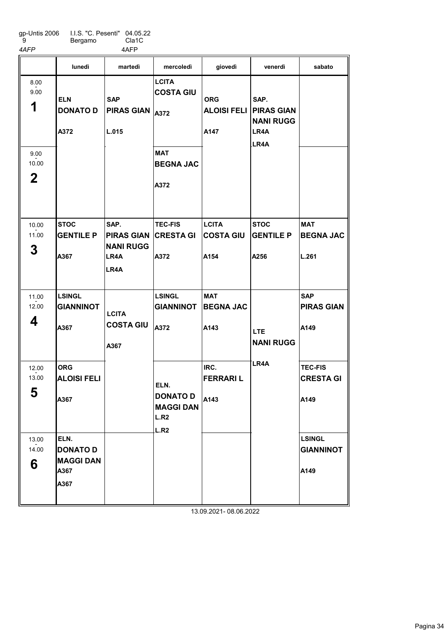gp-Untis 2006 9 I.I.S. "C. Pesenti" Bergamo 04.05.22 Cla1C 4AFP 4AFP

|                                                    | lunedì                                                      | martedì                                                       | mercoledì                                                                  | giovedì                                             | venerdì                                  | sabato                                     |
|----------------------------------------------------|-------------------------------------------------------------|---------------------------------------------------------------|----------------------------------------------------------------------------|-----------------------------------------------------|------------------------------------------|--------------------------------------------|
| 8.00<br>9.00<br>1<br>9.00<br>10.00<br>$\mathbf{2}$ | <b>ELN</b><br><b>DONATO D</b><br>A372                       | <b>SAP</b><br><b>PIRAS GIAN</b><br>L.015                      | <b>LCITA</b><br><b>COSTA GIU</b><br>A372<br><b>MAT</b><br><b>BEGNA JAC</b> | <b>ORG</b><br><b>ALOISI FELI PIRAS GIAN</b><br>A147 | SAP.<br><b>NANI RUGG</b><br>LR4A<br>LR4A |                                            |
| 10.00<br>11.00<br>3                                | <b>STOC</b><br><b>GENTILE P</b><br>A367                     | SAP.<br><b>PIRAS GIAN</b><br><b>NANI RUGG</b><br>LR4A<br>LR4A | A372<br><b>TEC-FIS</b><br><b>CRESTA GI</b><br>A372                         | <b>LCITA</b><br><b>COSTA GIU</b><br>A154            | <b>STOC</b><br><b>GENTILE P</b><br>A256  | <b>MAT</b><br><b>BEGNA JAC</b><br>L.261    |
| 11.00<br>12.00<br>4                                | <b>LSINGL</b><br><b>GIANNINOT</b><br>A367                   | <b>LCITA</b><br><b>COSTA GIU</b><br>A367                      | <b>LSINGL</b><br><b>GIANNINOT</b><br>A372                                  | <b>MAT</b><br><b>BEGNA JAC</b><br>A143              | LTE.<br><b>NANI RUGG</b>                 | <b>SAP</b><br><b>PIRAS GIAN</b><br>A149    |
| 12.00<br>13.00<br>E.<br>່ວ                         | <b>ORG</b><br><b>ALOISI FELI</b><br>A367                    |                                                               | ELN.<br><b>DONATO D</b><br><b>MAGGI DAN</b><br>L.R2<br>L.R2                | IRC.<br><b>FERRARIL</b><br>A143                     | LR <sub>4</sub> A                        | <b>TEC-FIS</b><br><b>CRESTA GI</b><br>A149 |
| 13.00<br>14.00<br>6                                | ELN.<br><b>DONATO D</b><br><b>MAGGI DAN</b><br>A367<br>A367 |                                                               |                                                                            |                                                     |                                          | <b>LSINGL</b><br><b>GIANNINOT</b><br>A149  |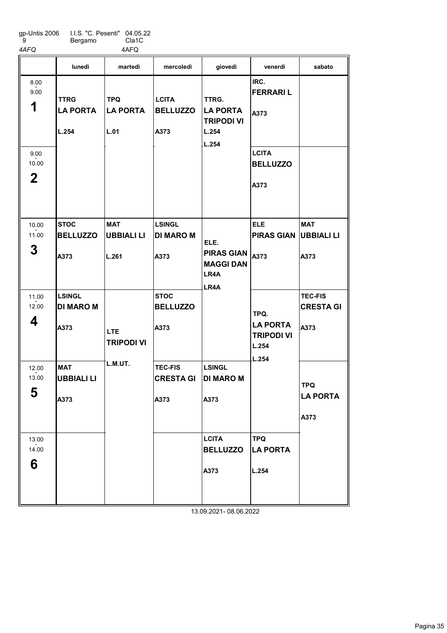| qp-Untis 2006 | I.I.S. "C. Pesenti" 04.05.22 |                    |
|---------------|------------------------------|--------------------|
| -9            | Bergamo                      | Cla <sub>1</sub> C |

4AFQ 4AFQ

|                           | lunedì                                  | martedì                               | mercoledì                               | giovedì                                                         | venerdì                                                | sabato                                |
|---------------------------|-----------------------------------------|---------------------------------------|-----------------------------------------|-----------------------------------------------------------------|--------------------------------------------------------|---------------------------------------|
| 8.00<br>9.00<br>1<br>9.00 | <b>TTRG</b><br><b>LA PORTA</b><br>L.254 | <b>TPQ</b><br><b>LA PORTA</b><br>L.01 | <b>LCITA</b><br><b>BELLUZZO</b><br>A373 | TTRG.<br><b>LA PORTA</b><br><b>TRIPODI VI</b><br>L.254<br>L.254 | IRC.<br><b>FERRARIL</b><br>A373<br><b>LCITA</b>        |                                       |
| 10.00<br>$\mathbf 2$      |                                         |                                       |                                         |                                                                 | <b>BELLUZZO</b><br>A373                                |                                       |
| 10.00<br>11.00            | <b>STOC</b><br><b>BELLUZZO</b>          | <b>MAT</b><br><b>UBBIALI LI</b>       | <b>LSINGL</b><br><b>DI MARO M</b>       | ELE.                                                            | <b>ELE</b><br><b>PIRAS GIAN UBBIALI LI</b>             | <b>MAT</b>                            |
| 3                         | A373                                    | L.261                                 | A373                                    | <b>PIRAS GIAN</b><br><b>MAGGI DAN</b><br>LR4A<br>LR4A           | A373                                                   | A373                                  |
| 11.00<br>12.00            | <b>LSINGL</b><br><b>DI MARO M</b>       |                                       | <b>STOC</b><br><b>BELLUZZO</b>          |                                                                 | TPQ.                                                   | <b>TEC-FIS</b><br><b>CRESTA GI</b>    |
| 4                         | A373                                    | LTE.<br><b>TRIPODI VI</b>             | A373                                    |                                                                 | <b>LA PORTA</b><br><b>TRIPODI VI</b><br>L.254<br>L.254 | A373                                  |
| 12.00<br>13.00            | <b>MAT</b><br><b>UBBIALI LI</b>         | L.M.UT.                               | <b>TEC-FIS</b><br><b>CRESTA GI</b>      | <b>LSINGL</b><br><b>DI MARO M</b>                               |                                                        |                                       |
| 5                         | A373                                    |                                       | A373                                    | A373                                                            |                                                        | <b>TPQ</b><br><b>LA PORTA</b><br>A373 |
|                           |                                         |                                       |                                         |                                                                 |                                                        |                                       |
| 13.00<br>14.00<br>6       |                                         |                                       |                                         | <b>LCITA</b><br><b>BELLUZZO</b>                                 | <b>TPQ</b><br><b>LA PORTA</b>                          |                                       |
|                           |                                         |                                       |                                         | A373                                                            | L.254                                                  |                                       |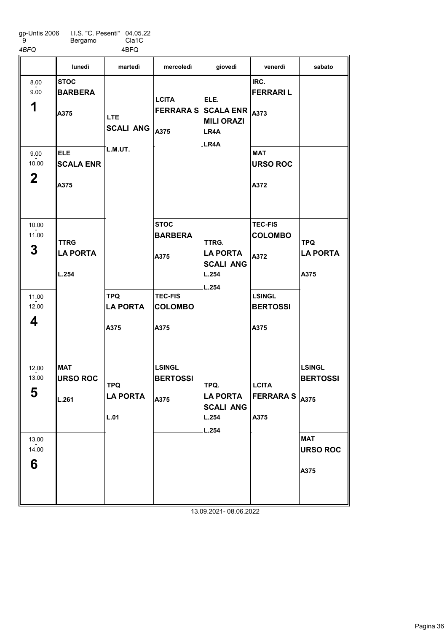gp-Untis 2006 9 I.I.S. "C. Pesenti" Bergamo 04.05.22

4BFQ 4BFQ

Cla1C

|                           | lunedì                                              | martedì                                   | mercoledì                                | giovedì                                                                                      | venerdì                                             | sabato                                |
|---------------------------|-----------------------------------------------------|-------------------------------------------|------------------------------------------|----------------------------------------------------------------------------------------------|-----------------------------------------------------|---------------------------------------|
| 8.00<br>9.00<br>1<br>9.00 | <b>STOC</b><br><b>BARBERA</b><br>A375<br><b>ELE</b> | <b>LTE</b><br><b>SCALI ANG</b><br>L.M.UT. | <b>LCITA</b><br>A375                     | ELE.<br><b>FERRARA S SCALA ENR <math>_{A373}</math></b><br><b>MILI ORAZI</b><br>LR4A<br>LR4A | IRC.<br><b>FERRARIL</b><br><b>MAT</b>               |                                       |
| 10.00<br>$\mathbf 2$      | <b>SCALA ENR</b><br>A375                            |                                           |                                          |                                                                                              | <b>URSO ROC</b><br>A372                             |                                       |
| 10.00<br>11.00<br>3       | TTRG<br><b>LA PORTA</b><br>L.254                    |                                           | <b>STOC</b><br><b>BARBERA</b><br>A375    | TTRG.<br><b>LA PORTA</b><br><b>SCALI ANG</b><br>L.254<br>L.254                               | <b>TEC-FIS</b><br><b>COLOMBO</b><br>A372            | <b>TPQ</b><br><b>LA PORTA</b><br>A375 |
| 11.00<br>12.00<br>4       |                                                     | <b>TPQ</b><br><b>LA PORTA</b><br>A375     | <b>TEC-FIS</b><br><b>COLOMBO</b><br>A375 |                                                                                              | <b>LSINGL</b><br><b>BERTOSSI</b><br>A375            |                                       |
| 12.00<br>13.00<br>5       | <b>MAT</b><br><b>URSO ROC</b><br>L.261              | <b>TPQ</b><br><b>LA PORTA</b><br>L.01     | <b>LSINGL</b><br><b>BERTOSSI</b><br>A375 | TPQ.<br><b>LA PORTA</b><br><b>SCALI ANG</b><br>L.254<br>L.254                                | <b>LCITA</b><br><b>FERRARA S</b> $ _{A375}$<br>A375 | <b>LSINGL</b><br><b>BERTOSSI</b>      |
| 13.00<br>14.00<br>6       |                                                     |                                           |                                          | 13.09.2021-08.06.2022                                                                        |                                                     | <b>MAT</b><br><b>URSO ROC</b><br>A375 |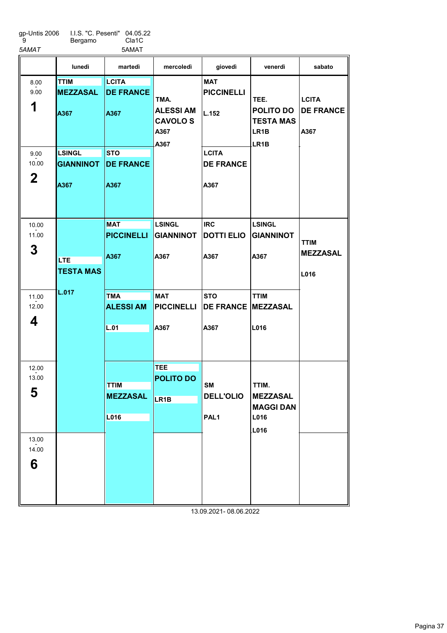| gp-Untis 2006 |  |
|---------------|--|
| 9             |  |

I.I.S. "C. Pesenti" Bergamo 04.05.22 Cla1C

6

|                 | 5AMAT                                                                        |                                                                                                                                                               |                                                                                                                                                                         |                                                                                                                                                 |                                                                                                                                                                                                                                                                   |
|-----------------|------------------------------------------------------------------------------|---------------------------------------------------------------------------------------------------------------------------------------------------------------|-------------------------------------------------------------------------------------------------------------------------------------------------------------------------|-------------------------------------------------------------------------------------------------------------------------------------------------|-------------------------------------------------------------------------------------------------------------------------------------------------------------------------------------------------------------------------------------------------------------------|
| lunedì          | martedì                                                                      | mercoledì                                                                                                                                                     | giovedì                                                                                                                                                                 | venerdì                                                                                                                                         | sabato                                                                                                                                                                                                                                                            |
| <b>TTIM</b>     | <b>LCITA</b>                                                                 |                                                                                                                                                               | <b>MAT</b>                                                                                                                                                              |                                                                                                                                                 |                                                                                                                                                                                                                                                                   |
| <b>MEZZASAL</b> | <b>DE FRANCE</b>                                                             |                                                                                                                                                               | <b>PICCINELLI</b>                                                                                                                                                       |                                                                                                                                                 |                                                                                                                                                                                                                                                                   |
|                 |                                                                              |                                                                                                                                                               |                                                                                                                                                                         |                                                                                                                                                 | <b>LCITA</b>                                                                                                                                                                                                                                                      |
| A367            | A367                                                                         |                                                                                                                                                               | L.152                                                                                                                                                                   |                                                                                                                                                 | <b>DE FRANCE</b>                                                                                                                                                                                                                                                  |
|                 |                                                                              |                                                                                                                                                               |                                                                                                                                                                         |                                                                                                                                                 | A367                                                                                                                                                                                                                                                              |
|                 |                                                                              |                                                                                                                                                               |                                                                                                                                                                         |                                                                                                                                                 |                                                                                                                                                                                                                                                                   |
|                 |                                                                              |                                                                                                                                                               |                                                                                                                                                                         |                                                                                                                                                 |                                                                                                                                                                                                                                                                   |
|                 |                                                                              |                                                                                                                                                               |                                                                                                                                                                         |                                                                                                                                                 |                                                                                                                                                                                                                                                                   |
|                 |                                                                              |                                                                                                                                                               |                                                                                                                                                                         |                                                                                                                                                 |                                                                                                                                                                                                                                                                   |
| A367            | A367                                                                         |                                                                                                                                                               | A367                                                                                                                                                                    |                                                                                                                                                 |                                                                                                                                                                                                                                                                   |
|                 |                                                                              |                                                                                                                                                               |                                                                                                                                                                         |                                                                                                                                                 |                                                                                                                                                                                                                                                                   |
|                 |                                                                              |                                                                                                                                                               |                                                                                                                                                                         |                                                                                                                                                 |                                                                                                                                                                                                                                                                   |
|                 |                                                                              |                                                                                                                                                               |                                                                                                                                                                         |                                                                                                                                                 |                                                                                                                                                                                                                                                                   |
|                 |                                                                              |                                                                                                                                                               |                                                                                                                                                                         |                                                                                                                                                 |                                                                                                                                                                                                                                                                   |
|                 |                                                                              |                                                                                                                                                               |                                                                                                                                                                         |                                                                                                                                                 | <b>TTIM</b>                                                                                                                                                                                                                                                       |
|                 |                                                                              |                                                                                                                                                               |                                                                                                                                                                         |                                                                                                                                                 | <b>MEZZASAL</b>                                                                                                                                                                                                                                                   |
|                 |                                                                              |                                                                                                                                                               |                                                                                                                                                                         |                                                                                                                                                 |                                                                                                                                                                                                                                                                   |
|                 |                                                                              |                                                                                                                                                               |                                                                                                                                                                         |                                                                                                                                                 | L016                                                                                                                                                                                                                                                              |
|                 |                                                                              |                                                                                                                                                               |                                                                                                                                                                         |                                                                                                                                                 |                                                                                                                                                                                                                                                                   |
|                 |                                                                              |                                                                                                                                                               |                                                                                                                                                                         |                                                                                                                                                 |                                                                                                                                                                                                                                                                   |
|                 |                                                                              |                                                                                                                                                               |                                                                                                                                                                         |                                                                                                                                                 |                                                                                                                                                                                                                                                                   |
|                 |                                                                              |                                                                                                                                                               |                                                                                                                                                                         |                                                                                                                                                 |                                                                                                                                                                                                                                                                   |
|                 |                                                                              |                                                                                                                                                               |                                                                                                                                                                         |                                                                                                                                                 |                                                                                                                                                                                                                                                                   |
|                 |                                                                              |                                                                                                                                                               |                                                                                                                                                                         |                                                                                                                                                 |                                                                                                                                                                                                                                                                   |
|                 |                                                                              |                                                                                                                                                               |                                                                                                                                                                         |                                                                                                                                                 |                                                                                                                                                                                                                                                                   |
|                 |                                                                              | <b>TEE</b>                                                                                                                                                    |                                                                                                                                                                         |                                                                                                                                                 |                                                                                                                                                                                                                                                                   |
|                 |                                                                              | <b>POLITO DO</b>                                                                                                                                              |                                                                                                                                                                         |                                                                                                                                                 |                                                                                                                                                                                                                                                                   |
|                 |                                                                              |                                                                                                                                                               |                                                                                                                                                                         |                                                                                                                                                 |                                                                                                                                                                                                                                                                   |
|                 |                                                                              |                                                                                                                                                               |                                                                                                                                                                         |                                                                                                                                                 |                                                                                                                                                                                                                                                                   |
|                 |                                                                              |                                                                                                                                                               |                                                                                                                                                                         |                                                                                                                                                 |                                                                                                                                                                                                                                                                   |
|                 |                                                                              |                                                                                                                                                               |                                                                                                                                                                         |                                                                                                                                                 |                                                                                                                                                                                                                                                                   |
|                 |                                                                              |                                                                                                                                                               |                                                                                                                                                                         |                                                                                                                                                 |                                                                                                                                                                                                                                                                   |
|                 |                                                                              |                                                                                                                                                               |                                                                                                                                                                         |                                                                                                                                                 |                                                                                                                                                                                                                                                                   |
|                 | <b>LSINGL</b><br><b>GIANNINOT</b><br><b>LTE</b><br><b>TESTA MAS</b><br>L.017 | <b>STO</b><br><b>DE FRANCE</b><br><b>MAT</b><br><b>PICCINELLI</b><br>A367<br><b>TMA</b><br><b>ALESSI AM</b><br>L.01<br><b>TTIM</b><br><b>MEZZASAL</b><br>L016 | TMA.<br><b>ALESSI AM</b><br><b>CAVOLOS</b><br>A367<br>A367<br><b>LSINGL</b><br><b>GIANNINOT</b><br>A367<br><b>MAT</b><br><b>PICCINELLI</b><br>A367<br>LR <sub>1</sub> B | <b>LCITA</b><br><b>DE FRANCE</b><br><b>IRC</b><br><b>DOTTI ELIO</b><br>A367<br><b>STO</b><br>A367<br>SM<br><b>DELL'OLIO</b><br>PAL <sub>1</sub> | TEE.<br><b>POLITO DO</b><br><b>TESTA MAS</b><br>LR <sub>1</sub> B<br>LR <sub>1</sub> B<br><b>LSINGL</b><br><b>GIANNINOT</b><br>A367<br><b>TTIM</b><br><b>DE FRANCE</b><br><b>MEZZASAL</b><br>L016<br>TTIM.<br><b>MEZZASAL</b><br><b>MAGGI DAN</b><br>L016<br>L016 |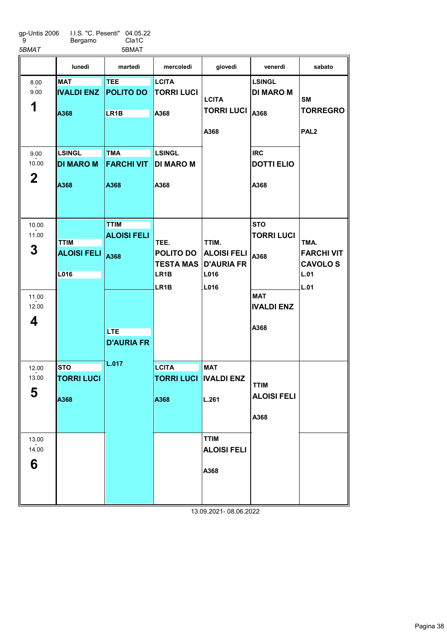| gp-Untis 2006 |  |
|---------------|--|
| 9             |  |

I.I.S. "C. Pesenti" Bergamo 04.05.22 Cla1C

| 5BMAT          |                                   | 5BMAT                           |                                   |                                         |                                   |                                     |
|----------------|-----------------------------------|---------------------------------|-----------------------------------|-----------------------------------------|-----------------------------------|-------------------------------------|
|                | lunedì                            | martedì                         | mercoledì                         | giovedì                                 | venerdì                           | sabato                              |
| 8.00<br>9.00   | <b>MAT</b><br><b>IVALDI ENZ</b>   | <b>TEE</b><br><b>POLITO DO</b>  | <b>LCITA</b><br><b>TORRI LUCI</b> | <b>LCITA</b>                            | <b>LSINGL</b><br><b>DI MARO M</b> | SM                                  |
| 1              | A368                              | LR <sub>1</sub> B               | A368                              | <b>TORRI LUCI</b><br>A368               | A368                              | <b>TORREGRO</b><br>PAL <sub>2</sub> |
|                |                                   |                                 |                                   |                                         |                                   |                                     |
| 9.00<br>10.00  | <b>LSINGL</b><br><b>DI MARO M</b> | <b>TMA</b><br><b>FARCHI VIT</b> | <b>LSINGL</b><br><b>DI MARO M</b> |                                         | <b>IRC</b><br><b>DOTTI ELIO</b>   |                                     |
| $\mathbf 2$    | A368                              | A368                            | A368                              |                                         | A368                              |                                     |
|                |                                   |                                 |                                   |                                         |                                   |                                     |
| 10.00<br>11.00 |                                   | <b>TTIM</b>                     |                                   |                                         | <b>STO</b>                        |                                     |
|                | <b>TTIM</b>                       | <b>ALOISI FELI</b>              | TEE.                              | TTIM.                                   | <b>TORRI LUCI</b>                 | TMA.                                |
| 3              | <b>ALOISI FELI</b>                | A368                            | POLITO DO<br><b>TESTA MAS</b>     | <b>ALOISI FELI</b><br><b>D'AURIA FR</b> | A368                              | <b>FARCHI VIT</b><br><b>CAVOLOS</b> |
|                | L016                              |                                 | LR <sub>1</sub> B<br>LR1B         | L016<br>L016                            |                                   | L.01<br><b>L.01</b>                 |
| 11.00<br>12.00 |                                   |                                 |                                   |                                         | <b>MAT</b><br><b>IVALDI ENZ</b>   |                                     |
| 4              |                                   | <b>LTE</b>                      |                                   |                                         | A368                              |                                     |
|                |                                   | <b>D'AURIA FR</b>               |                                   |                                         |                                   |                                     |
| 12.00          | <b>STO</b>                        | L.017                           | <b>LCITA</b>                      | <b>MAT</b>                              |                                   |                                     |
| 13.00          | <b>TORRI LUCI</b>                 |                                 | <b>TORRI LUCI</b>                 | <b>IVALDI ENZ</b>                       | TTIM                              |                                     |
| 5              | A368                              |                                 | A368                              | L.261                                   | <b>ALOISI FELI</b>                |                                     |
|                |                                   |                                 |                                   |                                         | A368                              |                                     |
| 13.00<br>14.00 |                                   |                                 |                                   | <b>TTIM</b><br><b>ALOISI FELI</b>       |                                   |                                     |
| 6              |                                   |                                 |                                   | A368                                    |                                   |                                     |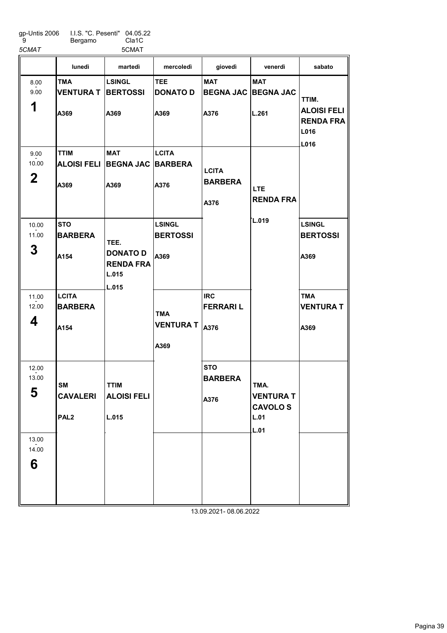gp-Untis 2006 9

I.I.S. "C. Pesenti" Bergamo 04.05.22 Cla1C

6

13.00  $-2.00$ 

| 5CMAT          |                    | 5CMAT                                        |                  |                              |                                    |                                                         |
|----------------|--------------------|----------------------------------------------|------------------|------------------------------|------------------------------------|---------------------------------------------------------|
|                | lunedì             | martedì                                      | mercoledì        | giovedì                      | venerdì                            | sabato                                                  |
| 8.00           | <b>TMA</b>         | <b>LSINGL</b>                                | <b>TEE</b>       | <b>MAT</b>                   | <b>MAT</b>                         |                                                         |
| 9.00           | <b>VENTURA T</b>   | <b>BERTOSSI</b>                              | DONATO D         | <b>BEGNA JAC</b>             | <b>BEGNA JAC</b>                   |                                                         |
| 1              | A369               | A369                                         | A369             | A376                         | L.261                              | TTIM.<br><b>ALOISI FELI</b><br><b>RENDA FRA</b><br>L016 |
|                |                    |                                              |                  |                              |                                    | L016                                                    |
| 9.00           | <b>TTIM</b>        | <b>MAT</b>                                   | <b>LCITA</b>     |                              |                                    |                                                         |
| 10.00          | <b>ALOISI FELI</b> | <b>BEGNA JAC BARBERA</b>                     |                  | <b>LCITA</b>                 |                                    |                                                         |
| $\mathbf 2$    | A369               | A369                                         | A376             | <b>BARBERA</b>               | LTE.                               |                                                         |
|                |                    |                                              |                  | A376                         | <b>RENDA FRA</b>                   |                                                         |
| 10.00          | <b>STO</b>         |                                              | <b>LSINGL</b>    |                              | L.019                              | <b>LSINGL</b>                                           |
| 11.00          | <b>BARBERA</b>     |                                              | <b>BERTOSSI</b>  |                              |                                    | <b>BERTOSSI</b>                                         |
|                |                    | TEE.                                         |                  |                              |                                    |                                                         |
| 3              | A154               | <b>DONATO D</b><br><b>RENDA FRA</b><br>L.015 | A369             |                              |                                    | A369                                                    |
|                |                    | L.015                                        |                  |                              |                                    |                                                         |
| 11.00          | <b>LCITA</b>       |                                              |                  | <b>IRC</b>                   |                                    | <b>TMA</b>                                              |
| 12.00          | <b>BARBERA</b>     |                                              | TMA              | <b>FERRARIL</b>              |                                    | <b>VENTURA T</b>                                        |
| 4              | A154               |                                              | <b>VENTURA T</b> | A376                         |                                    | A369                                                    |
|                |                    |                                              | A369             |                              |                                    |                                                         |
|                |                    |                                              |                  |                              |                                    |                                                         |
| 12.00<br>13.00 | <b>SM</b>          | <b>TTIM</b>                                  |                  | <b>STO</b><br><b>BARBERA</b> | TMA.                               |                                                         |
| 5              | <b>CAVALERI</b>    | <b>ALOISI FELI</b>                           |                  | A376                         | <b>VENTURA T</b><br><b>CAVOLOS</b> |                                                         |
|                | PAL <sub>2</sub>   | L.015                                        |                  |                              | L.01                               |                                                         |

13.09.2021- 08.06.2022

L.01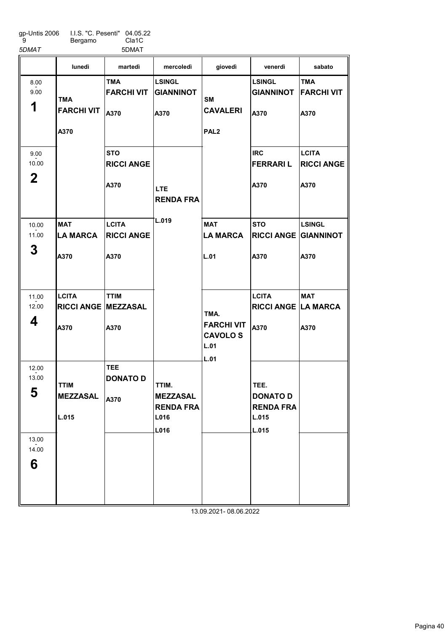| qp-Untis 2006 | I.I.S. "C. Pesenti" 04.05.22 |                    |
|---------------|------------------------------|--------------------|
| 9             | Bergamo                      | Cla <sub>1</sub> C |

5DMAT 5DMAT

|                                                   | lunedì                                             | martedì                                   | mercoledì                                                    | giovedì                                             | venerdì                                                       | sabato                                    |
|---------------------------------------------------|----------------------------------------------------|-------------------------------------------|--------------------------------------------------------------|-----------------------------------------------------|---------------------------------------------------------------|-------------------------------------------|
| 8.00<br>9.00<br>1                                 | <b>TMA</b><br><b>FARCHI VIT</b><br>A370            | <b>TMA</b><br><b>FARCHI VIT</b><br>A370   | <b>LSINGL</b><br><b>GIANNINOT</b><br>A370                    | <b>SM</b><br><b>CAVALERI</b><br>PAL <sub>2</sub>    | <b>LSINGL</b><br><b>GIANNINOT</b><br>A370                     | <b>TMA</b><br><b>FARCHI VIT</b><br>A370   |
| 9.00<br>10.00<br>$\mathbf{2}$                     |                                                    | <b>STO</b><br><b>RICCI ANGE</b><br>A370   | <b>LTE</b><br><b>RENDA FRA</b>                               |                                                     | <b>IRC</b><br><b>FERRARIL</b><br>A370                         | <b>LCITA</b><br><b>RICCI ANGE</b><br>A370 |
| 10.00<br>11.00<br>3                               | <b>MAT</b><br><b>LA MARCA</b><br>A370              | <b>LCITA</b><br><b>RICCI ANGE</b><br>A370 | L.019                                                        | <b>MAT</b><br><b>LA MARCA</b><br>L.01               | <b>STO</b><br><b>RICCI ANGE GIANNINOT</b><br>A370             | <b>LSINGL</b><br>A370                     |
| 11.00<br>12.00<br>4                               | <b>LCITA</b><br><b>RICCI ANGE MEZZASAL</b><br>A370 | <b>TTIM</b><br>A370                       |                                                              | TMA.<br><b>FARCHI VIT</b><br><b>CAVOLOS</b><br>L.01 | <b>LCITA</b><br><b>RICCI ANGE LA MARCA</b><br>A370            | <b>MAT</b><br>A370                        |
| 12.00<br>13.00<br>E.<br>ູວ<br>13.00<br>14.00<br>6 | <b>TTIM</b><br><b>MEZZASAL</b><br>L.015            | TEE.<br><b>DONATO D</b><br>A370           | TTIM.<br><b>MEZZASAL</b><br><b>RENDA FRA</b><br>L016<br>L016 | L.01                                                | TEE.<br><b>DONATO D</b><br><b>RENDA FRA</b><br>L.015<br>L.015 |                                           |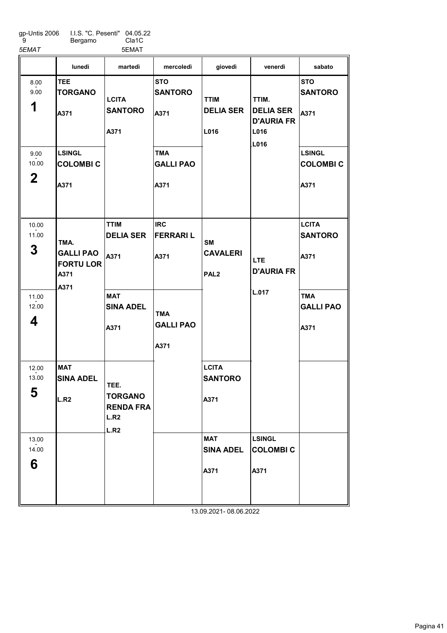gp-Untis 2006 9 I.I.S. "C. Pesenti" Bergamo 04.05.22

Cla1C 5EMAT 5EMAT

|                               | lunedì                                                       | martedì                                                    | mercoledì                              | giovedì                                          | venerdì                                                        | sabato                                   |
|-------------------------------|--------------------------------------------------------------|------------------------------------------------------------|----------------------------------------|--------------------------------------------------|----------------------------------------------------------------|------------------------------------------|
| 8.00<br>9.00<br>1             | <b>TEE</b><br><b>TORGANO</b><br>A371                         | <b>LCITA</b><br><b>SANTORO</b><br>A371                     | <b>STO</b><br><b>SANTORO</b><br>A371   | <b>TTIM</b><br><b>DELIA SER</b><br>L016          | TTIM.<br><b>DELIA SER</b><br><b>D'AURIA FR</b><br>L016<br>L016 | <b>STO</b><br><b>SANTORO</b><br>A371     |
| 9.00<br>10.00<br>$\mathbf{2}$ | <b>LSINGL</b><br><b>COLOMBIC</b><br>A371                     |                                                            | <b>TMA</b><br><b>GALLI PAO</b><br>A371 |                                                  |                                                                | <b>LSINGL</b><br><b>COLOMBIC</b><br>A371 |
| 10.00<br>11.00<br>3           | TMA.<br><b>GALLI PAO</b><br><b>FORTU LOR</b><br>A371<br>A371 | <b>TTIM</b><br><b>DELIA SER</b><br>A371                    | <b>IRC</b><br><b>FERRARIL</b><br>A371  | <b>SM</b><br><b>CAVALERI</b><br>PAL <sub>2</sub> | LTE.<br><b>D'AURIA FR</b>                                      | <b>LCITA</b><br><b>SANTORO</b><br>A371   |
| 11.00<br>12.00<br>4           |                                                              | <b>MAT</b><br><b>SINA ADEL</b><br>A371                     | <b>TMA</b><br><b>GALLI PAO</b><br>A371 |                                                  | L.017                                                          | <b>TMA</b><br><b>GALLI PAO</b><br>A371   |
| 12.00<br>13.00<br>5           | <b>MAT</b><br><b>SINA ADEL</b><br>L.R2                       | TEE.<br><b>TORGANO</b><br><b>RENDA FRA</b><br>L.R2<br>L.R2 |                                        | <b>LCITA</b><br><b>SANTORO</b><br>A371           |                                                                |                                          |
| 13.00<br>14.00<br>6           |                                                              |                                                            |                                        | <b>MAT</b><br><b>SINA ADEL</b><br>A371           | <b>LSINGL</b><br><b>COLOMBIC</b><br>A371                       |                                          |